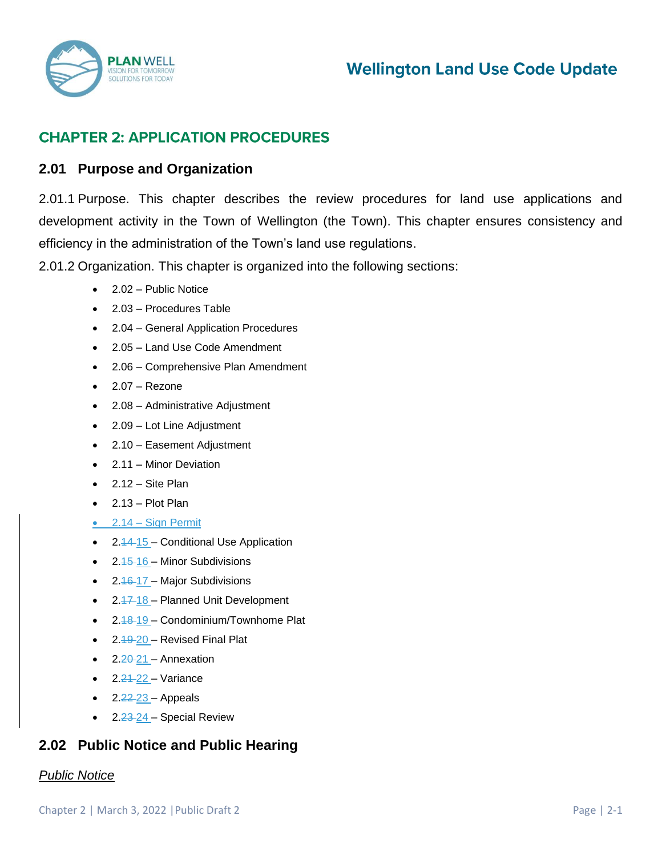

# **Wellington Land Use Code Update**

## **CHAPTER 2: APPLICATION PROCEDURES**

## **2.01 Purpose and Organization**

2.01.1 Purpose. This chapter describes the review procedures for land use applications and development activity in the Town of Wellington (the Town). This chapter ensures consistency and efficiency in the administration of the Town's land use regulations.

2.01.2 Organization. This chapter is organized into the following sections:

- 2.02 Public Notice
- 2.03 Procedures Table
- 2.04 General Application Procedures
- 2.05 Land Use Code Amendment
- 2.06 Comprehensive Plan Amendment
- $\bullet$  2.07 Rezone
- 2.08 Administrative Adjustment
- 2.09 Lot Line Adjustment
- 2.10 Easement Adjustment
- 2.11 Minor Deviation
- $\bullet$  2.12 Site Plan
- 2.13 Plot Plan
- 2.14 Sign Permit
- 2.44-15 Conditional Use Application
- $\bullet$  2.45-16 Minor Subdivisions
- $2.46-17$  Major Subdivisions
- $2.47 18$  Planned Unit Development
- 2.48-19 Condominium/Townhome Plat
- 2.49-20 Revised Final Plat
- 2.<del>20</del>-21 Annexation
- 2.21-22 Variance
- $2.22 23 -$  Appeals
- 2.23-24 Special Review

## **2.02 Public Notice and Public Hearing**

#### *Public Notice*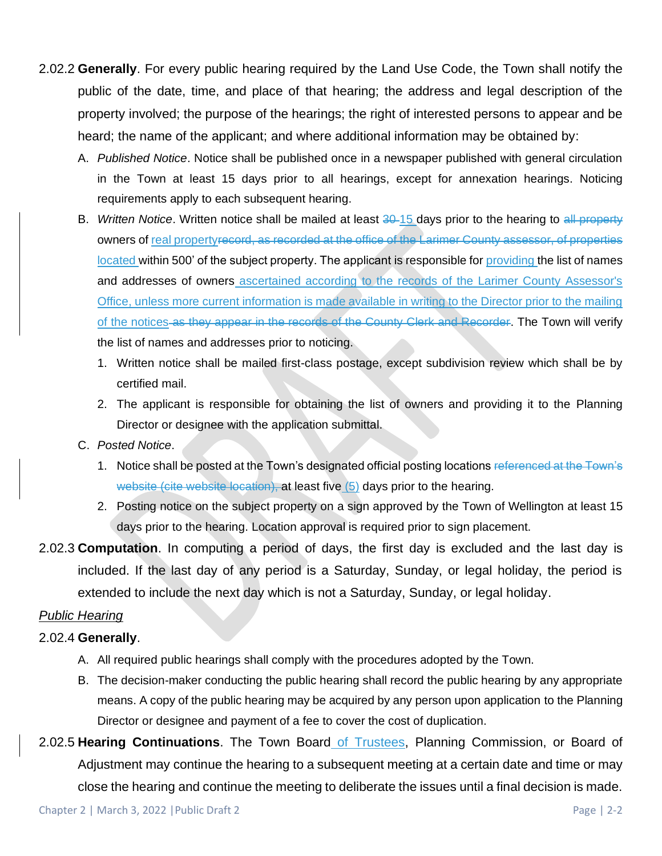- 2.02.2 **Generally**. For every public hearing required by the Land Use Code, the Town shall notify the public of the date, time, and place of that hearing; the address and legal description of the property involved; the purpose of the hearings; the right of interested persons to appear and be heard; the name of the applicant; and where additional information may be obtained by:
	- A. *Published Notice*. Notice shall be published once in a newspaper published with general circulation in the Town at least 15 days prior to all hearings, except for annexation hearings. Noticing requirements apply to each subsequent hearing.
	- B. *Written Notice*. Written notice shall be mailed at least 30-15 days prior to the hearing to all property owners of real propertyrecord, as recorded at the office of the Larimer County assessor, of properties located within 500' of the subject property. The applicant is responsible for providing the list of names and addresses of owners ascertained according to the records of the Larimer County Assessor's Office, unless more current information is made available in writing to the Director prior to the mailing of the notices as they appear in the records of the County Clerk and Recorder. The Town will verify the list of names and addresses prior to noticing.
		- 1. Written notice shall be mailed first-class postage, except subdivision review which shall be by certified mail.
		- 2. The applicant is responsible for obtaining the list of owners and providing it to the Planning Director or designee with the application submittal.
	- C. *Posted Notice*.
		- 1. Notice shall be posted at the Town's designated official posting locations referenced at the Town's website (cite website location), at least five (5) days prior to the hearing.
		- 2. Posting notice on the subject property on a sign approved by the Town of Wellington at least 15 days prior to the hearing. Location approval is required prior to sign placement.
- 2.02.3 **Computation**. In computing a period of days, the first day is excluded and the last day is included. If the last day of any period is a Saturday, Sunday, or legal holiday, the period is extended to include the next day which is not a Saturday, Sunday, or legal holiday.

## *Public Hearing*

## 2.02.4 **Generally**.

- A. All required public hearings shall comply with the procedures adopted by the Town.
- B. The decision-maker conducting the public hearing shall record the public hearing by any appropriate means. A copy of the public hearing may be acquired by any person upon application to the Planning Director or designee and payment of a fee to cover the cost of duplication.
- 2.02.5 **Hearing Continuations**. The Town Board of Trustees, Planning Commission, or Board of Adjustment may continue the hearing to a subsequent meeting at a certain date and time or may close the hearing and continue the meeting to deliberate the issues until a final decision is made.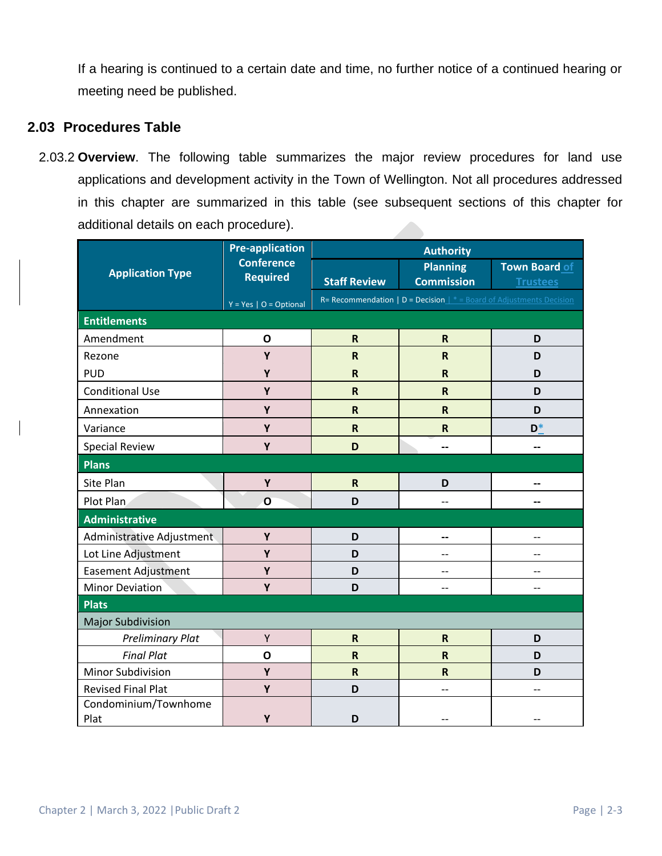If a hearing is continued to a certain date and time, no further notice of a continued hearing or meeting need be published.

## **2.03 Procedures Table**

2.03.2 **Overview**. The following table summarizes the major review procedures for land use applications and development activity in the Town of Wellington. Not all procedures addressed in this chapter are summarized in this table (see subsequent sections of this chapter for additional details on each procedure).

| <b>Application Type</b>      | <b>Pre-application</b><br><b>Conference</b><br><b>Required</b> | <b>Authority</b>        |                                                                             |                 |
|------------------------------|----------------------------------------------------------------|-------------------------|-----------------------------------------------------------------------------|-----------------|
|                              |                                                                |                         | <b>Planning</b>                                                             | Town Board of   |
|                              |                                                                | <b>Staff Review</b>     | <b>Commission</b>                                                           | <b>Trustees</b> |
|                              | $Y = Yes \mid O = Optional$                                    |                         | R= Recommendation   $D = Decision \rvert$ * = Board of Adjustments Decision |                 |
| <b>Entitlements</b>          |                                                                |                         |                                                                             |                 |
| Amendment                    | $\mathbf{o}$                                                   | $\mathsf{R}$            | $\mathsf R$                                                                 | D               |
| Rezone                       | Y                                                              | $\mathsf R$             | ${\sf R}$                                                                   | D               |
| <b>PUD</b>                   | Y                                                              | $\mathsf{R}$            | $\overline{\mathsf{R}}$                                                     | D               |
| <b>Conditional Use</b>       | Y                                                              | $\overline{\mathsf{R}}$ | $\mathsf R$                                                                 | D               |
| Annexation                   | Y                                                              | $\overline{\mathsf{R}}$ | $\mathsf R$                                                                 | D               |
| Variance                     | Y                                                              | $\mathsf R$             | $\mathsf R$                                                                 | $D^*$           |
| <b>Special Review</b>        | Y                                                              | D                       | --                                                                          | --              |
| <b>Plans</b>                 |                                                                |                         |                                                                             |                 |
| Site Plan                    | Y                                                              | $\mathsf R$             | D                                                                           |                 |
| Plot Plan                    | O                                                              | D                       | --                                                                          |                 |
| <b>Administrative</b>        |                                                                |                         |                                                                             |                 |
| Administrative Adjustment    | Y                                                              | D                       | --                                                                          |                 |
| Lot Line Adjustment          | Y                                                              | D                       | --                                                                          |                 |
| <b>Easement Adjustment</b>   | Υ                                                              | D                       | --                                                                          | --              |
| <b>Minor Deviation</b>       | Y                                                              | D                       | --                                                                          |                 |
| <b>Plats</b>                 |                                                                |                         |                                                                             |                 |
| <b>Major Subdivision</b>     |                                                                |                         |                                                                             |                 |
| <b>Preliminary Plat</b>      | Υ                                                              | $\mathsf{R}$            | ${\sf R}$                                                                   | D               |
| <b>Final Plat</b>            | $\mathbf{o}$                                                   | $\mathsf R$             | $\mathsf R$                                                                 | D               |
| Minor Subdivision            | Y                                                              | $\overline{\mathsf{R}}$ | R                                                                           | D               |
| <b>Revised Final Plat</b>    | Υ                                                              | D                       | --                                                                          | --              |
| Condominium/Townhome<br>Plat | Y                                                              | D                       |                                                                             |                 |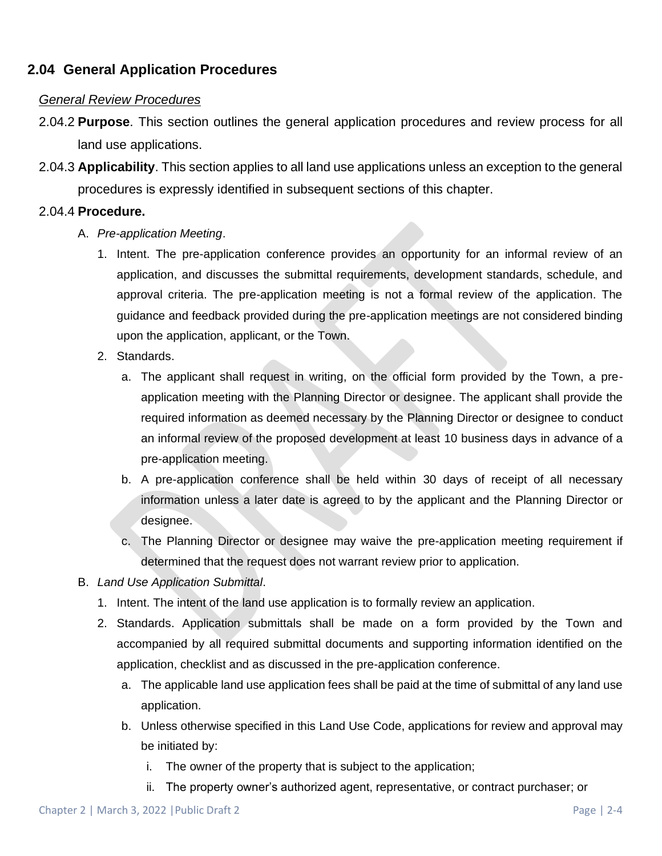## **2.04 General Application Procedures**

### *General Review Procedures*

- 2.04.2 **Purpose**. This section outlines the general application procedures and review process for all land use applications.
- 2.04.3 **Applicability**. This section applies to all land use applications unless an exception to the general procedures is expressly identified in subsequent sections of this chapter.

### 2.04.4 **Procedure.**

- A. *Pre-application Meeting*.
	- 1. Intent. The pre-application conference provides an opportunity for an informal review of an application, and discusses the submittal requirements, development standards, schedule, and approval criteria. The pre-application meeting is not a formal review of the application. The guidance and feedback provided during the pre-application meetings are not considered binding upon the application, applicant, or the Town.
	- 2. Standards.
		- a. The applicant shall request in writing, on the official form provided by the Town, a preapplication meeting with the Planning Director or designee. The applicant shall provide the required information as deemed necessary by the Planning Director or designee to conduct an informal review of the proposed development at least 10 business days in advance of a pre-application meeting.
		- b. A pre-application conference shall be held within 30 days of receipt of all necessary information unless a later date is agreed to by the applicant and the Planning Director or designee.
		- c. The Planning Director or designee may waive the pre-application meeting requirement if determined that the request does not warrant review prior to application.
- B. *Land Use Application Submittal*.
	- 1. Intent. The intent of the land use application is to formally review an application.
	- 2. Standards. Application submittals shall be made on a form provided by the Town and accompanied by all required submittal documents and supporting information identified on the application, checklist and as discussed in the pre-application conference.
		- a. The applicable land use application fees shall be paid at the time of submittal of any land use application.
		- b. Unless otherwise specified in this Land Use Code, applications for review and approval may be initiated by:
			- i. The owner of the property that is subject to the application;
			- ii. The property owner's authorized agent, representative, or contract purchaser; or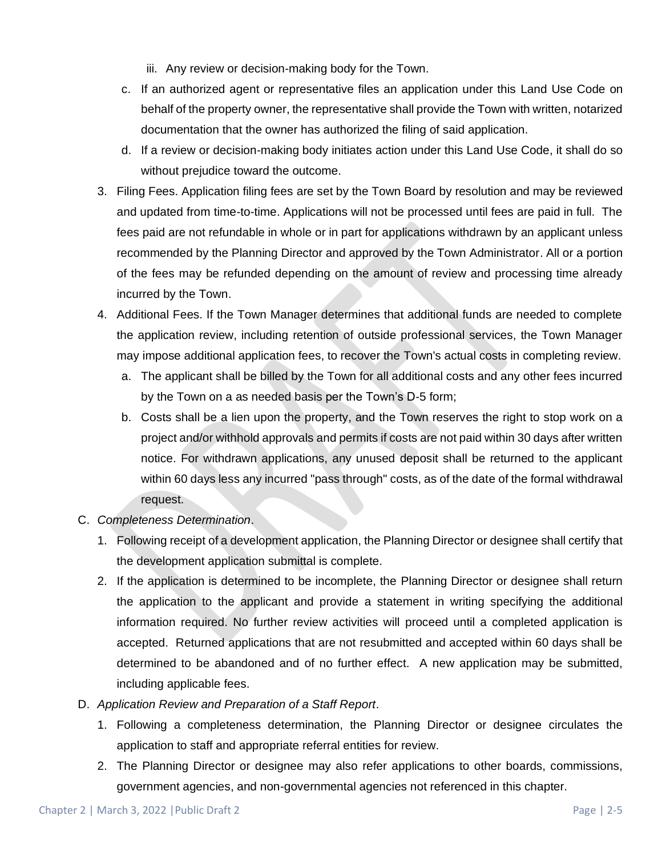- iii. Any review or decision-making body for the Town.
- c. If an authorized agent or representative files an application under this Land Use Code on behalf of the property owner, the representative shall provide the Town with written, notarized documentation that the owner has authorized the filing of said application.
- d. If a review or decision-making body initiates action under this Land Use Code, it shall do so without prejudice toward the outcome.
- 3. Filing Fees. Application filing fees are set by the Town Board by resolution and may be reviewed and updated from time-to-time. Applications will not be processed until fees are paid in full. The fees paid are not refundable in whole or in part for applications withdrawn by an applicant unless recommended by the Planning Director and approved by the Town Administrator. All or a portion of the fees may be refunded depending on the amount of review and processing time already incurred by the Town.
- 4. Additional Fees. If the Town Manager determines that additional funds are needed to complete the application review, including retention of outside professional services, the Town Manager may impose additional application fees, to recover the Town's actual costs in completing review.
	- a. The applicant shall be billed by the Town for all additional costs and any other fees incurred by the Town on a as needed basis per the Town's D-5 form;
	- b. Costs shall be a lien upon the property, and the Town reserves the right to stop work on a project and/or withhold approvals and permits if costs are not paid within 30 days after written notice. For withdrawn applications, any unused deposit shall be returned to the applicant within 60 days less any incurred "pass through" costs, as of the date of the formal withdrawal request.
- C. *Completeness Determination*.
	- 1. Following receipt of a development application, the Planning Director or designee shall certify that the development application submittal is complete.
	- 2. If the application is determined to be incomplete, the Planning Director or designee shall return the application to the applicant and provide a statement in writing specifying the additional information required. No further review activities will proceed until a completed application is accepted. Returned applications that are not resubmitted and accepted within 60 days shall be determined to be abandoned and of no further effect. A new application may be submitted, including applicable fees.
- D. *Application Review and Preparation of a Staff Report*.
	- 1. Following a completeness determination, the Planning Director or designee circulates the application to staff and appropriate referral entities for review.
	- 2. The Planning Director or designee may also refer applications to other boards, commissions, government agencies, and non-governmental agencies not referenced in this chapter.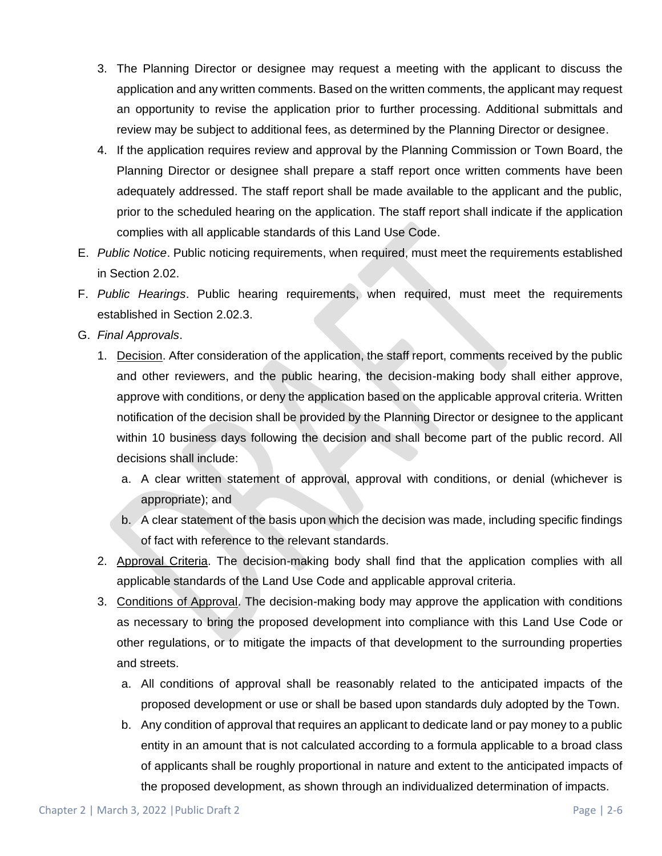- 3. The Planning Director or designee may request a meeting with the applicant to discuss the application and any written comments. Based on the written comments, the applicant may request an opportunity to revise the application prior to further processing. Additional submittals and review may be subject to additional fees, as determined by the Planning Director or designee.
- 4. If the application requires review and approval by the Planning Commission or Town Board, the Planning Director or designee shall prepare a staff report once written comments have been adequately addressed. The staff report shall be made available to the applicant and the public, prior to the scheduled hearing on the application. The staff report shall indicate if the application complies with all applicable standards of this Land Use Code.
- E. *Public Notice*. Public noticing requirements, when required, must meet the requirements established in Section 2.02.
- F. *Public Hearings*. Public hearing requirements, when required, must meet the requirements established in Section 2.02.3.
- G. *Final Approvals*.
	- 1. Decision. After consideration of the application, the staff report, comments received by the public and other reviewers, and the public hearing, the decision-making body shall either approve, approve with conditions, or deny the application based on the applicable approval criteria. Written notification of the decision shall be provided by the Planning Director or designee to the applicant within 10 business days following the decision and shall become part of the public record. All decisions shall include:
		- a. A clear written statement of approval, approval with conditions, or denial (whichever is appropriate); and
		- b. A clear statement of the basis upon which the decision was made, including specific findings of fact with reference to the relevant standards.
	- 2. Approval Criteria. The decision-making body shall find that the application complies with all applicable standards of the Land Use Code and applicable approval criteria.
	- 3. Conditions of Approval. The decision-making body may approve the application with conditions as necessary to bring the proposed development into compliance with this Land Use Code or other regulations, or to mitigate the impacts of that development to the surrounding properties and streets.
		- a. All conditions of approval shall be reasonably related to the anticipated impacts of the proposed development or use or shall be based upon standards duly adopted by the Town.
		- b. Any condition of approval that requires an applicant to dedicate land or pay money to a public entity in an amount that is not calculated according to a formula applicable to a broad class of applicants shall be roughly proportional in nature and extent to the anticipated impacts of the proposed development, as shown through an individualized determination of impacts.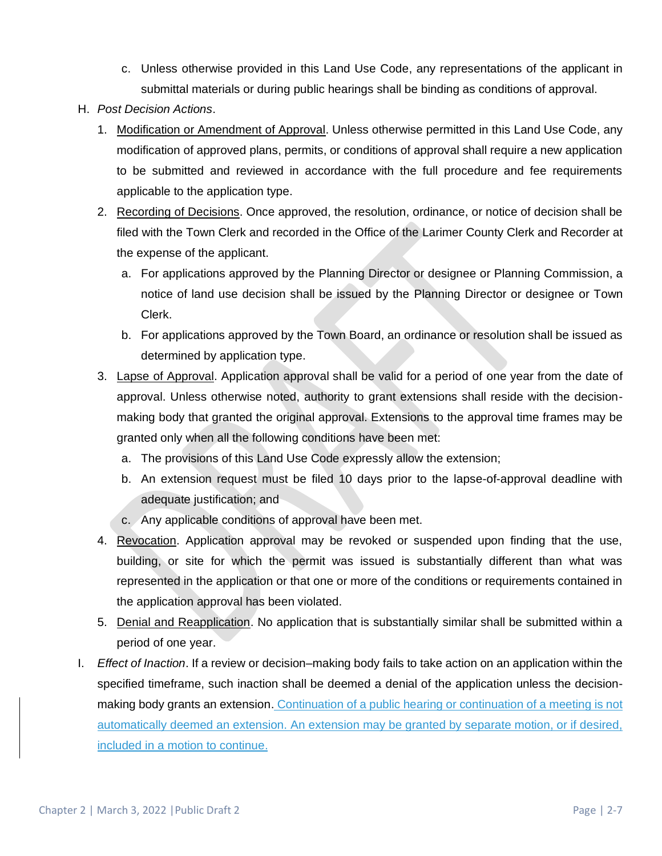- c. Unless otherwise provided in this Land Use Code, any representations of the applicant in submittal materials or during public hearings shall be binding as conditions of approval.
- H. *Post Decision Actions*.
	- 1. Modification or Amendment of Approval. Unless otherwise permitted in this Land Use Code, any modification of approved plans, permits, or conditions of approval shall require a new application to be submitted and reviewed in accordance with the full procedure and fee requirements applicable to the application type.
	- 2. Recording of Decisions. Once approved, the resolution, ordinance, or notice of decision shall be filed with the Town Clerk and recorded in the Office of the Larimer County Clerk and Recorder at the expense of the applicant.
		- a. For applications approved by the Planning Director or designee or Planning Commission, a notice of land use decision shall be issued by the Planning Director or designee or Town Clerk.
		- b. For applications approved by the Town Board, an ordinance or resolution shall be issued as determined by application type.
	- 3. Lapse of Approval. Application approval shall be valid for a period of one year from the date of approval. Unless otherwise noted, authority to grant extensions shall reside with the decisionmaking body that granted the original approval. Extensions to the approval time frames may be granted only when all the following conditions have been met:
		- a. The provisions of this Land Use Code expressly allow the extension;
		- b. An extension request must be filed 10 days prior to the lapse-of-approval deadline with adequate justification; and
		- c. Any applicable conditions of approval have been met.
	- 4. Revocation. Application approval may be revoked or suspended upon finding that the use, building, or site for which the permit was issued is substantially different than what was represented in the application or that one or more of the conditions or requirements contained in the application approval has been violated.
	- 5. Denial and Reapplication. No application that is substantially similar shall be submitted within a period of one year.
- I. *Effect of Inaction*. If a review or decision–making body fails to take action on an application within the specified timeframe, such inaction shall be deemed a denial of the application unless the decisionmaking body grants an extension. Continuation of a public hearing or continuation of a meeting is not automatically deemed an extension. An extension may be granted by separate motion, or if desired, included in a motion to continue.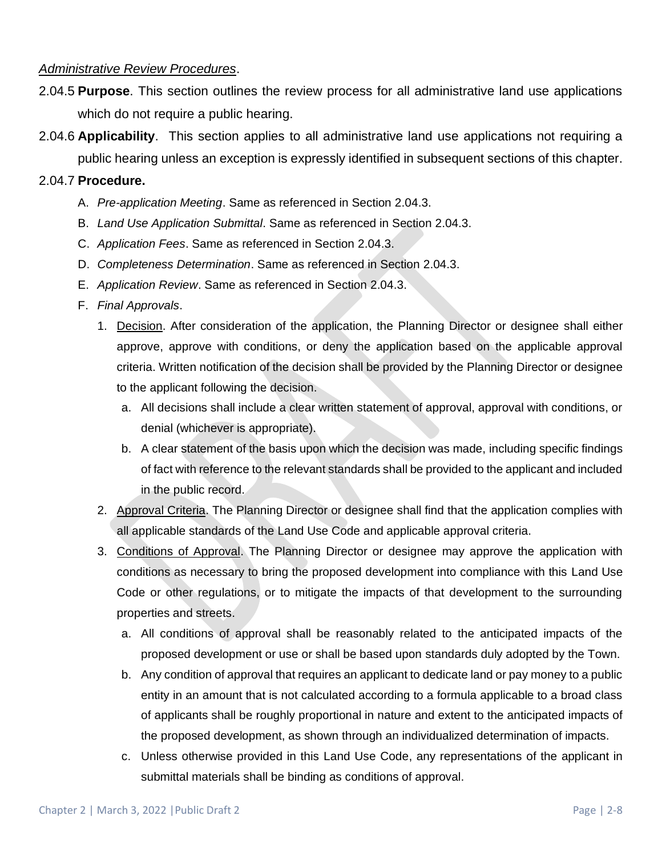#### *Administrative Review Procedures*.

- 2.04.5 **Purpose**. This section outlines the review process for all administrative land use applications which do not require a public hearing.
- 2.04.6 **Applicability**. This section applies to all administrative land use applications not requiring a public hearing unless an exception is expressly identified in subsequent sections of this chapter.

### 2.04.7 **Procedure.**

- A. *Pre-application Meeting*. Same as referenced in Section 2.04.3.
- B. *Land Use Application Submittal*. Same as referenced in Section 2.04.3.
- C. *Application Fees*. Same as referenced in Section 2.04.3.
- D. *Completeness Determination*. Same as referenced in Section 2.04.3.
- E. *Application Review*. Same as referenced in Section 2.04.3.

### F. *Final Approvals*.

- 1. Decision. After consideration of the application, the Planning Director or designee shall either approve, approve with conditions, or deny the application based on the applicable approval criteria. Written notification of the decision shall be provided by the Planning Director or designee to the applicant following the decision.
	- a. All decisions shall include a clear written statement of approval, approval with conditions, or denial (whichever is appropriate).
	- b. A clear statement of the basis upon which the decision was made, including specific findings of fact with reference to the relevant standards shall be provided to the applicant and included in the public record.
- 2. Approval Criteria. The Planning Director or designee shall find that the application complies with all applicable standards of the Land Use Code and applicable approval criteria.
- 3. Conditions of Approval. The Planning Director or designee may approve the application with conditions as necessary to bring the proposed development into compliance with this Land Use Code or other regulations, or to mitigate the impacts of that development to the surrounding properties and streets.
	- a. All conditions of approval shall be reasonably related to the anticipated impacts of the proposed development or use or shall be based upon standards duly adopted by the Town.
	- b. Any condition of approval that requires an applicant to dedicate land or pay money to a public entity in an amount that is not calculated according to a formula applicable to a broad class of applicants shall be roughly proportional in nature and extent to the anticipated impacts of the proposed development, as shown through an individualized determination of impacts.
	- c. Unless otherwise provided in this Land Use Code, any representations of the applicant in submittal materials shall be binding as conditions of approval.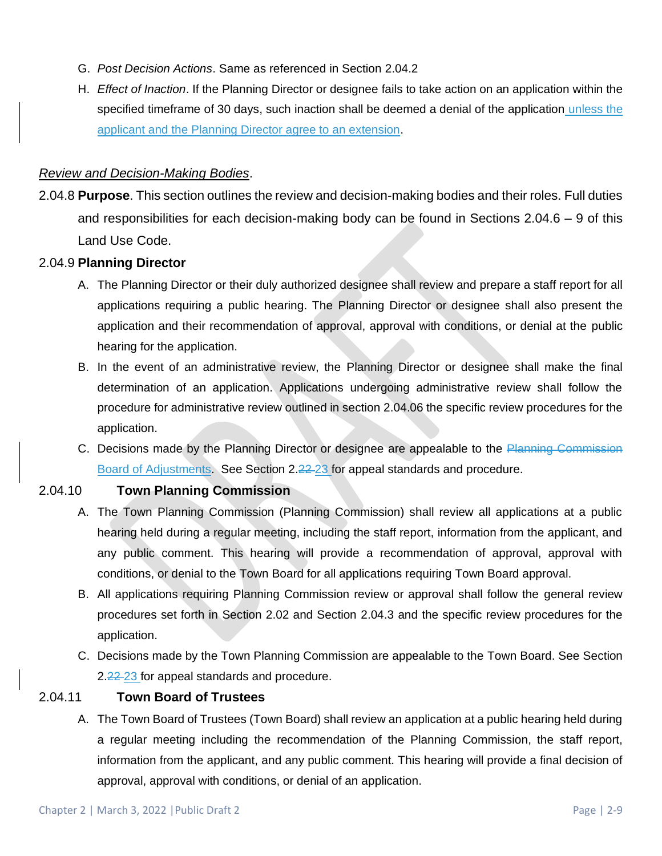- G. *Post Decision Actions*. Same as referenced in Section 2.04.2
- H. *Effect of Inaction*. If the Planning Director or designee fails to take action on an application within the specified timeframe of 30 days, such inaction shall be deemed a denial of the application unless the applicant and the Planning Director agree to an extension.

### *Review and Decision-Making Bodies*.

2.04.8 **Purpose**. This section outlines the review and decision-making bodies and their roles. Full duties and responsibilities for each decision-making body can be found in Sections 2.04.6 – 9 of this Land Use Code.

### 2.04.9 **Planning Director**

- A. The Planning Director or their duly authorized designee shall review and prepare a staff report for all applications requiring a public hearing. The Planning Director or designee shall also present the application and their recommendation of approval, approval with conditions, or denial at the public hearing for the application.
- B. In the event of an administrative review, the Planning Director or designee shall make the final determination of an application. Applications undergoing administrative review shall follow the procedure for administrative review outlined in section 2.04.06 the specific review procedures for the application.
- C. Decisions made by the Planning Director or designee are appealable to the Planning Commission Board of Adjustments. See Section 2.22 23 for appeal standards and procedure.

## 2.04.10 **Town Planning Commission**

- A. The Town Planning Commission (Planning Commission) shall review all applications at a public hearing held during a regular meeting, including the staff report, information from the applicant, and any public comment. This hearing will provide a recommendation of approval, approval with conditions, or denial to the Town Board for all applications requiring Town Board approval.
- B. All applications requiring Planning Commission review or approval shall follow the general review procedures set forth in Section 2.02 and Section 2.04.3 and the specific review procedures for the application.
- C. Decisions made by the Town Planning Commission are appealable to the Town Board. See Section 2.22-23 for appeal standards and procedure.

## 2.04.11 **Town Board of Trustees**

A. The Town Board of Trustees (Town Board) shall review an application at a public hearing held during a regular meeting including the recommendation of the Planning Commission, the staff report, information from the applicant, and any public comment. This hearing will provide a final decision of approval, approval with conditions, or denial of an application.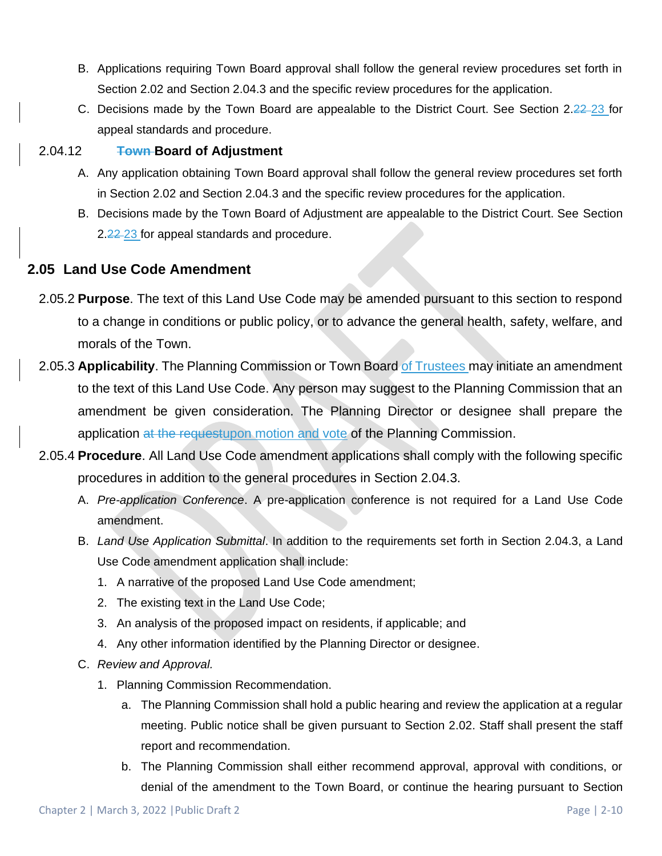- B. Applications requiring Town Board approval shall follow the general review procedures set forth in Section 2.02 and Section 2.04.3 and the specific review procedures for the application.
- C. Decisions made by the Town Board are appealable to the District Court. See Section 2.22-23 for appeal standards and procedure.

## 2.04.12 **Town Board of Adjustment**

- A. Any application obtaining Town Board approval shall follow the general review procedures set forth in Section 2.02 and Section 2.04.3 and the specific review procedures for the application.
- B. Decisions made by the Town Board of Adjustment are appealable to the District Court. See Section 2.22-23 for appeal standards and procedure.

## **2.05 Land Use Code Amendment**

- 2.05.2 **Purpose**. The text of this Land Use Code may be amended pursuant to this section to respond to a change in conditions or public policy, or to advance the general health, safety, welfare, and morals of the Town.
- 2.05.3 **Applicability**. The Planning Commission or Town Board of Trustees may initiate an amendment to the text of this Land Use Code. Any person may suggest to the Planning Commission that an amendment be given consideration. The Planning Director or designee shall prepare the application at the requestupon motion and vote of the Planning Commission.
- 2.05.4 **Procedure**. All Land Use Code amendment applications shall comply with the following specific procedures in addition to the general procedures in Section 2.04.3.
	- A. *Pre-application Conference*. A pre-application conference is not required for a Land Use Code amendment.
	- B. *Land Use Application Submittal*. In addition to the requirements set forth in Section 2.04.3, a Land Use Code amendment application shall include:
		- 1. A narrative of the proposed Land Use Code amendment;
		- 2. The existing text in the Land Use Code;
		- 3. An analysis of the proposed impact on residents, if applicable; and
		- 4. Any other information identified by the Planning Director or designee.
	- C. *Review and Approval.*
		- 1. Planning Commission Recommendation.
			- a. The Planning Commission shall hold a public hearing and review the application at a regular meeting. Public notice shall be given pursuant to Section 2.02. Staff shall present the staff report and recommendation.
			- b. The Planning Commission shall either recommend approval, approval with conditions, or denial of the amendment to the Town Board, or continue the hearing pursuant to Section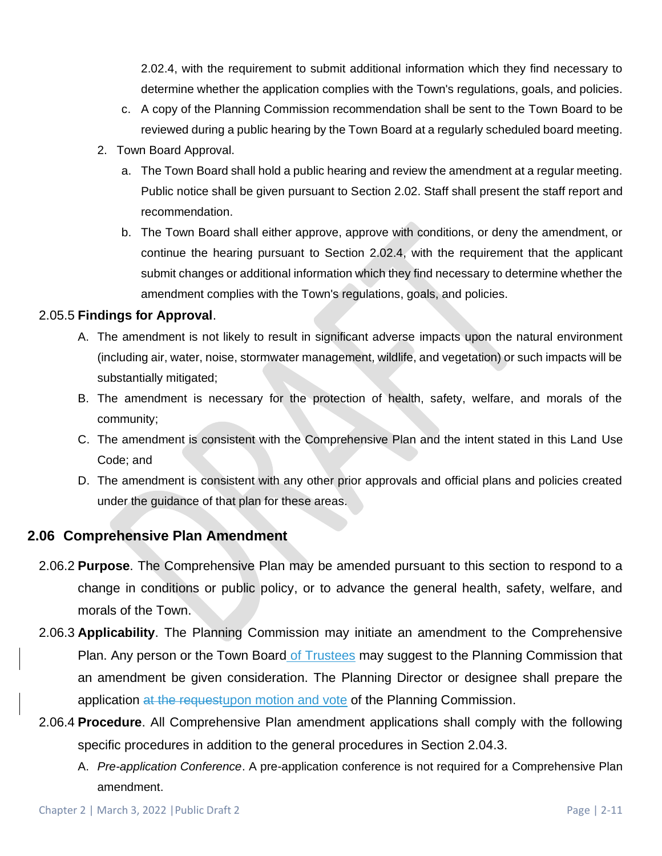2.02.4, with the requirement to submit additional information which they find necessary to determine whether the application complies with the Town's regulations, goals, and policies.

- c. A copy of the Planning Commission recommendation shall be sent to the Town Board to be reviewed during a public hearing by the Town Board at a regularly scheduled board meeting.
- 2. Town Board Approval.
	- a. The Town Board shall hold a public hearing and review the amendment at a regular meeting. Public notice shall be given pursuant to Section 2.02. Staff shall present the staff report and recommendation.
	- b. The Town Board shall either approve, approve with conditions, or deny the amendment, or continue the hearing pursuant to Section 2.02.4, with the requirement that the applicant submit changes or additional information which they find necessary to determine whether the amendment complies with the Town's regulations, goals, and policies.

### 2.05.5 **Findings for Approval**.

- A. The amendment is not likely to result in significant adverse impacts upon the natural environment (including air, water, noise, stormwater management, wildlife, and vegetation) or such impacts will be substantially mitigated;
- B. The amendment is necessary for the protection of health, safety, welfare, and morals of the community;
- C. The amendment is consistent with the Comprehensive Plan and the intent stated in this Land Use Code; and
- D. The amendment is consistent with any other prior approvals and official plans and policies created under the guidance of that plan for these areas.

## **2.06 Comprehensive Plan Amendment**

- 2.06.2 **Purpose**. The Comprehensive Plan may be amended pursuant to this section to respond to a change in conditions or public policy, or to advance the general health, safety, welfare, and morals of the Town.
- 2.06.3 **Applicability**. The Planning Commission may initiate an amendment to the Comprehensive Plan. Any person or the Town Board of Trustees may suggest to the Planning Commission that an amendment be given consideration. The Planning Director or designee shall prepare the application at the requestupon motion and vote of the Planning Commission.
- 2.06.4 **Procedure**. All Comprehensive Plan amendment applications shall comply with the following specific procedures in addition to the general procedures in Section 2.04.3.
	- A. *Pre-application Conference*. A pre-application conference is not required for a Comprehensive Plan amendment.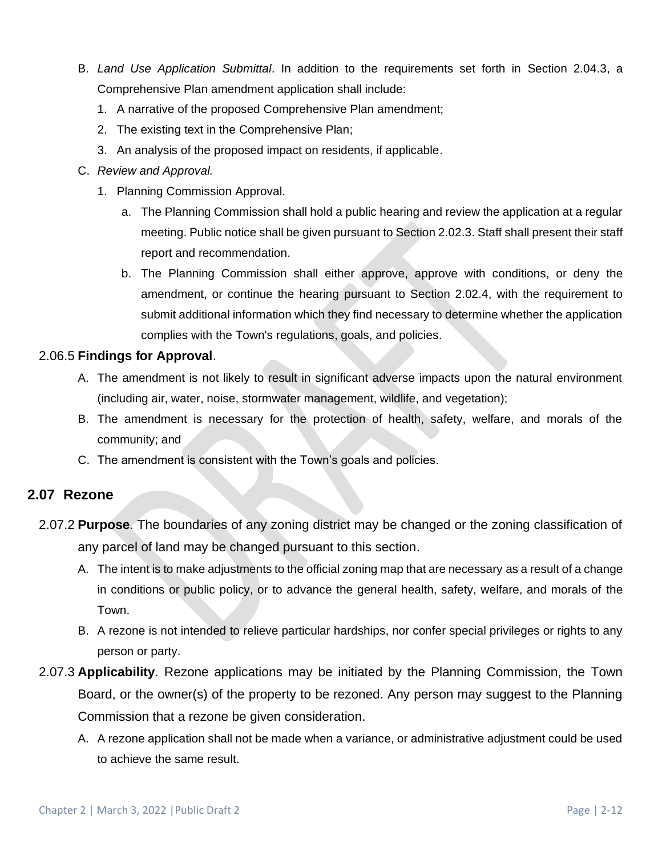- B. *Land Use Application Submittal*. In addition to the requirements set forth in Section 2.04.3, a Comprehensive Plan amendment application shall include:
	- 1. A narrative of the proposed Comprehensive Plan amendment;
	- 2. The existing text in the Comprehensive Plan;
	- 3. An analysis of the proposed impact on residents, if applicable.
- C. *Review and Approval.*
	- 1. Planning Commission Approval.
		- a. The Planning Commission shall hold a public hearing and review the application at a regular meeting. Public notice shall be given pursuant to Section 2.02.3. Staff shall present their staff report and recommendation.
		- b. The Planning Commission shall either approve, approve with conditions, or deny the amendment, or continue the hearing pursuant to Section 2.02.4, with the requirement to submit additional information which they find necessary to determine whether the application complies with the Town's regulations, goals, and policies.

### 2.06.5 **Findings for Approval**.

- A. The amendment is not likely to result in significant adverse impacts upon the natural environment (including air, water, noise, stormwater management, wildlife, and vegetation);
- B. The amendment is necessary for the protection of health, safety, welfare, and morals of the community; and
- C. The amendment is consistent with the Town's goals and policies.

## **2.07 Rezone**

- 2.07.2 **Purpose**. The boundaries of any zoning district may be changed or the zoning classification of any parcel of land may be changed pursuant to this section.
	- A. The intent is to make adjustments to the official zoning map that are necessary as a result of a change in conditions or public policy, or to advance the general health, safety, welfare, and morals of the Town.
	- B. A rezone is not intended to relieve particular hardships, nor confer special privileges or rights to any person or party.
- 2.07.3 **Applicability**. Rezone applications may be initiated by the Planning Commission, the Town Board, or the owner(s) of the property to be rezoned. Any person may suggest to the Planning Commission that a rezone be given consideration.
	- A. A rezone application shall not be made when a variance, or administrative adjustment could be used to achieve the same result.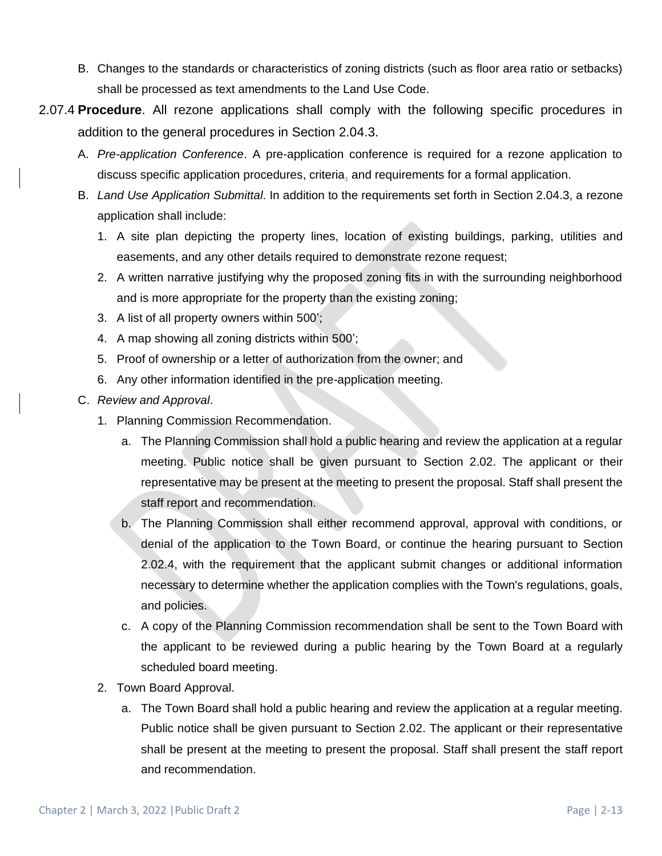- B. Changes to the standards or characteristics of zoning districts (such as floor area ratio or setbacks) shall be processed as text amendments to the Land Use Code.
- 2.07.4 **Procedure**. All rezone applications shall comply with the following specific procedures in addition to the general procedures in Section 2.04.3.
	- A. *Pre-application Conference*. A pre-application conference is required for a rezone application to discuss specific application procedures, criteria, and requirements for a formal application.
	- B. *Land Use Application Submittal*. In addition to the requirements set forth in Section 2.04.3, a rezone application shall include:
		- 1. A site plan depicting the property lines, location of existing buildings, parking, utilities and easements, and any other details required to demonstrate rezone request;
		- 2. A written narrative justifying why the proposed zoning fits in with the surrounding neighborhood and is more appropriate for the property than the existing zoning;
		- 3. A list of all property owners within 500';
		- 4. A map showing all zoning districts within 500';
		- 5. Proof of ownership or a letter of authorization from the owner; and
		- 6. Any other information identified in the pre-application meeting.
	- C. *Review and Approval*.
		- 1. Planning Commission Recommendation.
			- a. The Planning Commission shall hold a public hearing and review the application at a regular meeting. Public notice shall be given pursuant to Section 2.02. The applicant or their representative may be present at the meeting to present the proposal. Staff shall present the staff report and recommendation.
			- b. The Planning Commission shall either recommend approval, approval with conditions, or denial of the application to the Town Board, or continue the hearing pursuant to Section 2.02.4, with the requirement that the applicant submit changes or additional information necessary to determine whether the application complies with the Town's regulations, goals, and policies.
			- c. A copy of the Planning Commission recommendation shall be sent to the Town Board with the applicant to be reviewed during a public hearing by the Town Board at a regularly scheduled board meeting.
		- 2. Town Board Approval.
			- a. The Town Board shall hold a public hearing and review the application at a regular meeting. Public notice shall be given pursuant to Section 2.02. The applicant or their representative shall be present at the meeting to present the proposal. Staff shall present the staff report and recommendation.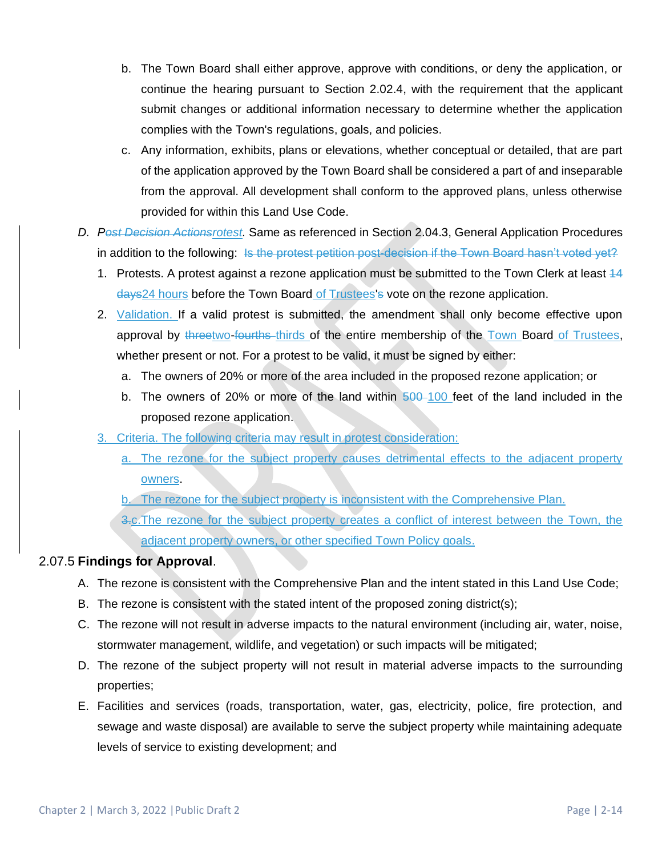- b. The Town Board shall either approve, approve with conditions, or deny the application, or continue the hearing pursuant to Section 2.02.4, with the requirement that the applicant submit changes or additional information necessary to determine whether the application complies with the Town's regulations, goals, and policies.
- c. Any information, exhibits, plans or elevations, whether conceptual or detailed, that are part of the application approved by the Town Board shall be considered a part of and inseparable from the approval. All development shall conform to the approved plans, unless otherwise provided for within this Land Use Code.
- *D. Post Decision Actionsrotest.* Same as referenced in Section 2.04.3, General Application Procedures in addition to the following: Is the protest petition post-decision if the Town Board hasn't voted yet?
	- 1. Protests. A protest against a rezone application must be submitted to the Town Clerk at least 44 days24 hours before the Town Board of Trustees's vote on the rezone application.
	- 2. Validation. If a valid protest is submitted, the amendment shall only become effective upon approval by threetwo-fourths thirds of the entire membership of the Town Board of Trustees, whether present or not. For a protest to be valid, it must be signed by either:
		- a. The owners of 20% or more of the area included in the proposed rezone application; or
		- b. The owners of 20% or more of the land within  $\frac{500-100}{2}$  feet of the land included in the proposed rezone application.
	- 3. Criteria. The following criteria may result in protest consideration:
		- a. The rezone for the subject property causes detrimental effects to the adjacent property owners.
		- b. The rezone for the subject property is inconsistent with the Comprehensive Plan.
		- 3.c.The rezone for the subject property creates a conflict of interest between the Town, the adjacent property owners, or other specified Town Policy goals.

## 2.07.5 **Findings for Approval**.

- A. The rezone is consistent with the Comprehensive Plan and the intent stated in this Land Use Code;
- B. The rezone is consistent with the stated intent of the proposed zoning district(s);
- C. The rezone will not result in adverse impacts to the natural environment (including air, water, noise, stormwater management, wildlife, and vegetation) or such impacts will be mitigated;
- D. The rezone of the subject property will not result in material adverse impacts to the surrounding properties;
- E. Facilities and services (roads, transportation, water, gas, electricity, police, fire protection, and sewage and waste disposal) are available to serve the subject property while maintaining adequate levels of service to existing development; and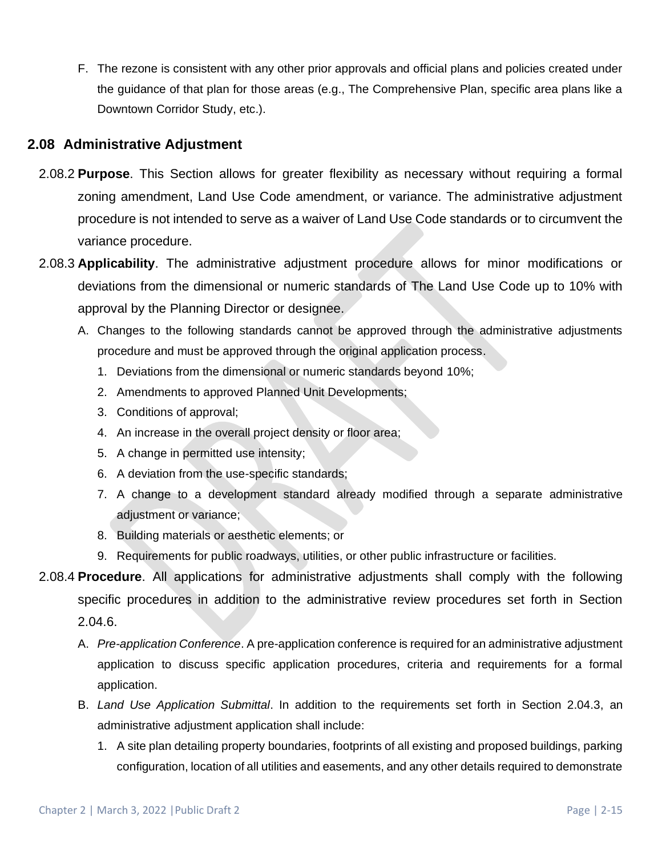F. The rezone is consistent with any other prior approvals and official plans and policies created under the guidance of that plan for those areas (e.g., The Comprehensive Plan, specific area plans like a Downtown Corridor Study, etc.).

## **2.08 Administrative Adjustment**

- 2.08.2 **Purpose**. This Section allows for greater flexibility as necessary without requiring a formal zoning amendment, Land Use Code amendment, or variance. The administrative adjustment procedure is not intended to serve as a waiver of Land Use Code standards or to circumvent the variance procedure.
- 2.08.3 **Applicability**. The administrative adjustment procedure allows for minor modifications or deviations from the dimensional or numeric standards of The Land Use Code up to 10% with approval by the Planning Director or designee.
	- A. Changes to the following standards cannot be approved through the administrative adjustments procedure and must be approved through the original application process.
		- 1. Deviations from the dimensional or numeric standards beyond 10%;
		- 2. Amendments to approved Planned Unit Developments;
		- 3. Conditions of approval;
		- 4. An increase in the overall project density or floor area;
		- 5. A change in permitted use intensity;
		- 6. A deviation from the use-specific standards;
		- 7. A change to a development standard already modified through a separate administrative adjustment or variance;
		- 8. Building materials or aesthetic elements; or
		- 9. Requirements for public roadways, utilities, or other public infrastructure or facilities.
- 2.08.4 **Procedure**. All applications for administrative adjustments shall comply with the following specific procedures in addition to the administrative review procedures set forth in Section 2.04.6.
	- A. *Pre-application Conference*. A pre-application conference is required for an administrative adjustment application to discuss specific application procedures, criteria and requirements for a formal application.
	- B. *Land Use Application Submittal*. In addition to the requirements set forth in Section 2.04.3, an administrative adjustment application shall include:
		- 1. A site plan detailing property boundaries, footprints of all existing and proposed buildings, parking configuration, location of all utilities and easements, and any other details required to demonstrate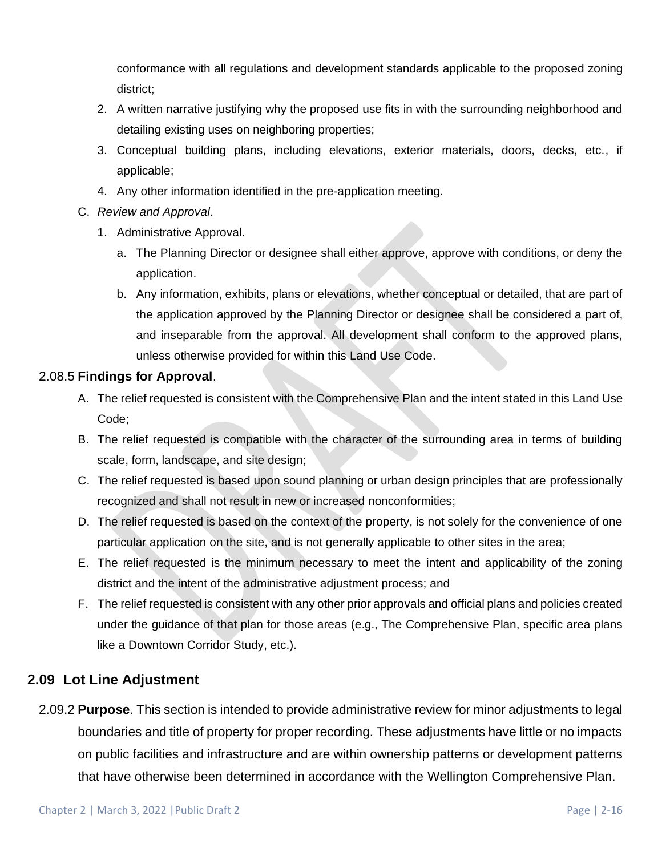conformance with all regulations and development standards applicable to the proposed zoning district;

- 2. A written narrative justifying why the proposed use fits in with the surrounding neighborhood and detailing existing uses on neighboring properties;
- 3. Conceptual building plans, including elevations, exterior materials, doors, decks, etc., if applicable;
- 4. Any other information identified in the pre-application meeting.
- C. *Review and Approval*.
	- 1. Administrative Approval.
		- a. The Planning Director or designee shall either approve, approve with conditions, or deny the application.
		- b. Any information, exhibits, plans or elevations, whether conceptual or detailed, that are part of the application approved by the Planning Director or designee shall be considered a part of, and inseparable from the approval. All development shall conform to the approved plans, unless otherwise provided for within this Land Use Code.

### 2.08.5 **Findings for Approval**.

- A. The relief requested is consistent with the Comprehensive Plan and the intent stated in this Land Use Code;
- B. The relief requested is compatible with the character of the surrounding area in terms of building scale, form, landscape, and site design;
- C. The relief requested is based upon sound planning or urban design principles that are professionally recognized and shall not result in new or increased nonconformities;
- D. The relief requested is based on the context of the property, is not solely for the convenience of one particular application on the site, and is not generally applicable to other sites in the area;
- E. The relief requested is the minimum necessary to meet the intent and applicability of the zoning district and the intent of the administrative adjustment process; and
- F. The relief requested is consistent with any other prior approvals and official plans and policies created under the guidance of that plan for those areas (e.g., The Comprehensive Plan, specific area plans like a Downtown Corridor Study, etc.).

## **2.09 Lot Line Adjustment**

2.09.2 **Purpose**. This section is intended to provide administrative review for minor adjustments to legal boundaries and title of property for proper recording. These adjustments have little or no impacts on public facilities and infrastructure and are within ownership patterns or development patterns that have otherwise been determined in accordance with the Wellington Comprehensive Plan.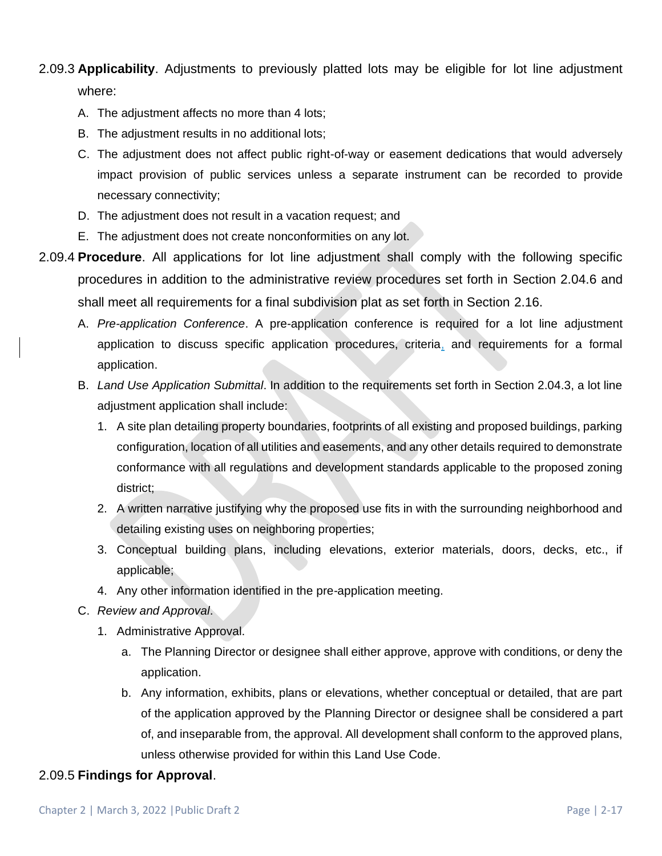# 2.09.3 **Applicability**. Adjustments to previously platted lots may be eligible for lot line adjustment where:

- A. The adjustment affects no more than 4 lots;
- B. The adjustment results in no additional lots;
- C. The adjustment does not affect public right-of-way or easement dedications that would adversely impact provision of public services unless a separate instrument can be recorded to provide necessary connectivity;
- D. The adjustment does not result in a vacation request; and
- E. The adjustment does not create nonconformities on any lot.
- 2.09.4 **Procedure**. All applications for lot line adjustment shall comply with the following specific procedures in addition to the administrative review procedures set forth in Section 2.04.6 and shall meet all requirements for a final subdivision plat as set forth in Section 2.16.
	- A. *Pre-application Conference*. A pre-application conference is required for a lot line adjustment application to discuss specific application procedures, criteria, and requirements for a formal application.
	- B. *Land Use Application Submittal*. In addition to the requirements set forth in Section 2.04.3, a lot line adjustment application shall include:
		- 1. A site plan detailing property boundaries, footprints of all existing and proposed buildings, parking configuration, location of all utilities and easements, and any other details required to demonstrate conformance with all regulations and development standards applicable to the proposed zoning district;
		- 2. A written narrative justifying why the proposed use fits in with the surrounding neighborhood and detailing existing uses on neighboring properties;
		- 3. Conceptual building plans, including elevations, exterior materials, doors, decks, etc., if applicable;
		- 4. Any other information identified in the pre-application meeting.
	- C. *Review and Approval*.
		- 1. Administrative Approval.
			- a. The Planning Director or designee shall either approve, approve with conditions, or deny the application.
			- b. Any information, exhibits, plans or elevations, whether conceptual or detailed, that are part of the application approved by the Planning Director or designee shall be considered a part of, and inseparable from, the approval. All development shall conform to the approved plans, unless otherwise provided for within this Land Use Code.

#### 2.09.5 **Findings for Approval**.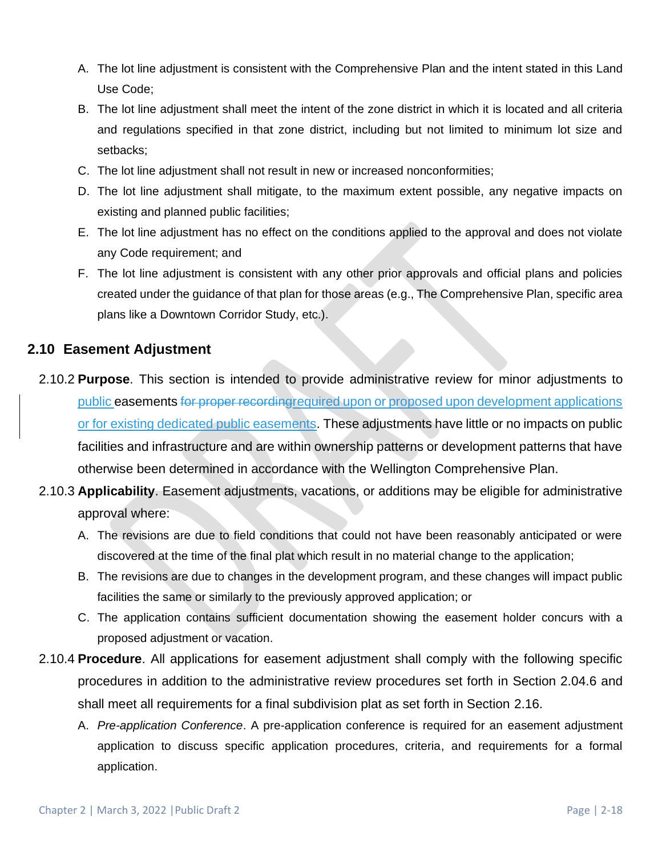- A. The lot line adjustment is consistent with the Comprehensive Plan and the intent stated in this Land Use Code;
- B. The lot line adjustment shall meet the intent of the zone district in which it is located and all criteria and regulations specified in that zone district, including but not limited to minimum lot size and setbacks;
- C. The lot line adjustment shall not result in new or increased nonconformities;
- D. The lot line adjustment shall mitigate, to the maximum extent possible, any negative impacts on existing and planned public facilities;
- E. The lot line adjustment has no effect on the conditions applied to the approval and does not violate any Code requirement; and
- F. The lot line adjustment is consistent with any other prior approvals and official plans and policies created under the guidance of that plan for those areas (e.g., The Comprehensive Plan, specific area plans like a Downtown Corridor Study, etc.).

## **2.10 Easement Adjustment**

- 2.10.2 **Purpose**. This section is intended to provide administrative review for minor adjustments to public easements for proper recordingrequired upon or proposed upon development applications or for existing dedicated public easements. These adjustments have little or no impacts on public facilities and infrastructure and are within ownership patterns or development patterns that have otherwise been determined in accordance with the Wellington Comprehensive Plan.
- 2.10.3 **Applicability**. Easement adjustments, vacations, or additions may be eligible for administrative approval where:
	- A. The revisions are due to field conditions that could not have been reasonably anticipated or were discovered at the time of the final plat which result in no material change to the application;
	- B. The revisions are due to changes in the development program, and these changes will impact public facilities the same or similarly to the previously approved application; or
	- C. The application contains sufficient documentation showing the easement holder concurs with a proposed adjustment or vacation.
- 2.10.4 **Procedure**. All applications for easement adjustment shall comply with the following specific procedures in addition to the administrative review procedures set forth in Section 2.04.6 and shall meet all requirements for a final subdivision plat as set forth in Section 2.16.
	- A. *Pre-application Conference*. A pre-application conference is required for an easement adjustment application to discuss specific application procedures, criteria, and requirements for a formal application.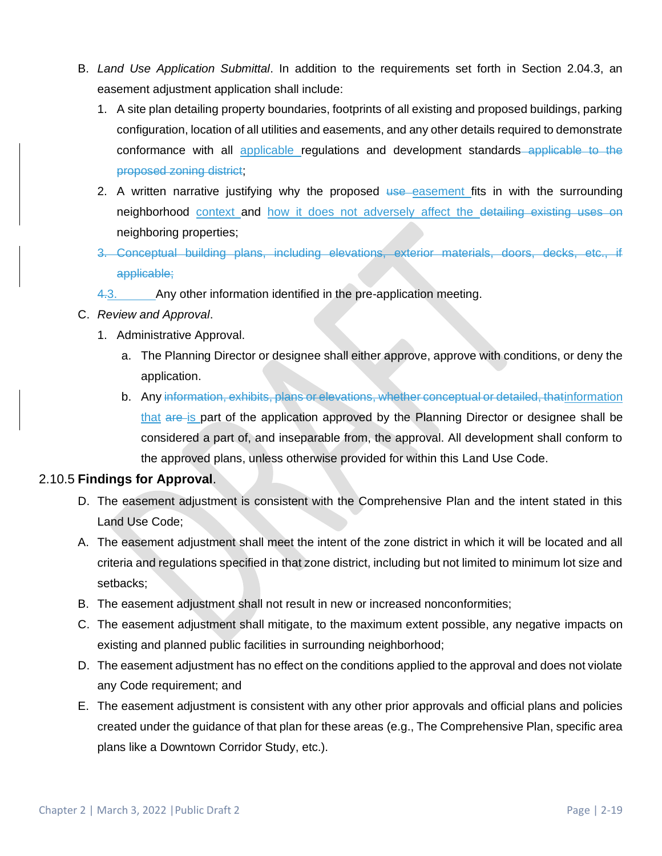- B. *Land Use Application Submittal*. In addition to the requirements set forth in Section 2.04.3, an easement adjustment application shall include:
	- 1. A site plan detailing property boundaries, footprints of all existing and proposed buildings, parking configuration, location of all utilities and easements, and any other details required to demonstrate conformance with all applicable regulations and development standards applicable to the proposed zoning district;
	- 2. A written narrative justifying why the proposed use easement fits in with the surrounding neighborhood context and how it does not adversely affect the detailing existing uses on neighboring properties;
	- 3. Conceptual building plans, including elevations, exterior materials, doors, decks, etc., if applicable;
	- 4.3. Any other information identified in the pre-application meeting.
- C. *Review and Approval*.
	- 1. Administrative Approval.
		- a. The Planning Director or designee shall either approve, approve with conditions, or deny the application.
		- b. Any information, exhibits, plans or elevations, whether conceptual or detailed, thatinformation that are is part of the application approved by the Planning Director or designee shall be considered a part of, and inseparable from, the approval. All development shall conform to the approved plans, unless otherwise provided for within this Land Use Code.

## 2.10.5 **Findings for Approval**.

- D. The easement adjustment is consistent with the Comprehensive Plan and the intent stated in this Land Use Code;
- A. The easement adjustment shall meet the intent of the zone district in which it will be located and all criteria and regulations specified in that zone district, including but not limited to minimum lot size and setbacks;
- B. The easement adjustment shall not result in new or increased nonconformities;
- C. The easement adjustment shall mitigate, to the maximum extent possible, any negative impacts on existing and planned public facilities in surrounding neighborhood;
- D. The easement adjustment has no effect on the conditions applied to the approval and does not violate any Code requirement; and
- E. The easement adjustment is consistent with any other prior approvals and official plans and policies created under the guidance of that plan for these areas (e.g., The Comprehensive Plan, specific area plans like a Downtown Corridor Study, etc.).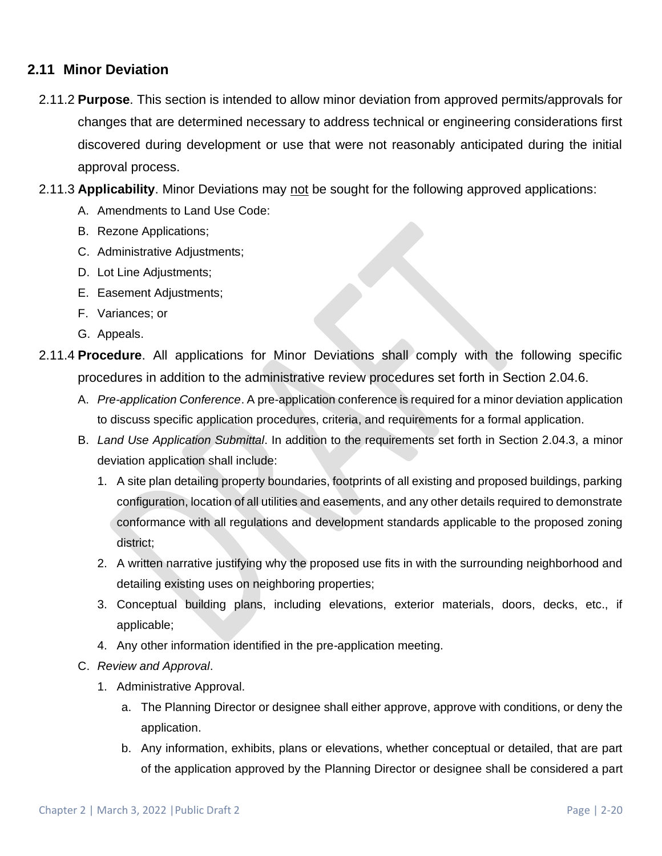## **2.11 Minor Deviation**

- 2.11.2 **Purpose**. This section is intended to allow minor deviation from approved permits/approvals for changes that are determined necessary to address technical or engineering considerations first discovered during development or use that were not reasonably anticipated during the initial approval process.
- 2.11.3 **Applicability**. Minor Deviations may not be sought for the following approved applications:
	- A. Amendments to Land Use Code:
	- B. Rezone Applications;
	- C. Administrative Adjustments;
	- D. Lot Line Adjustments;
	- E. Easement Adjustments;
	- F. Variances; or
	- G. Appeals.
- 2.11.4 **Procedure**. All applications for Minor Deviations shall comply with the following specific procedures in addition to the administrative review procedures set forth in Section 2.04.6.
	- A. *Pre-application Conference*. A pre-application conference is required for a minor deviation application to discuss specific application procedures, criteria, and requirements for a formal application.
	- B. *Land Use Application Submittal*. In addition to the requirements set forth in Section 2.04.3, a minor deviation application shall include:
		- 1. A site plan detailing property boundaries, footprints of all existing and proposed buildings, parking configuration, location of all utilities and easements, and any other details required to demonstrate conformance with all regulations and development standards applicable to the proposed zoning district;
		- 2. A written narrative justifying why the proposed use fits in with the surrounding neighborhood and detailing existing uses on neighboring properties;
		- 3. Conceptual building plans, including elevations, exterior materials, doors, decks, etc., if applicable;
		- 4. Any other information identified in the pre-application meeting.
	- C. *Review and Approval*.
		- 1. Administrative Approval.
			- a. The Planning Director or designee shall either approve, approve with conditions, or deny the application.
			- b. Any information, exhibits, plans or elevations, whether conceptual or detailed, that are part of the application approved by the Planning Director or designee shall be considered a part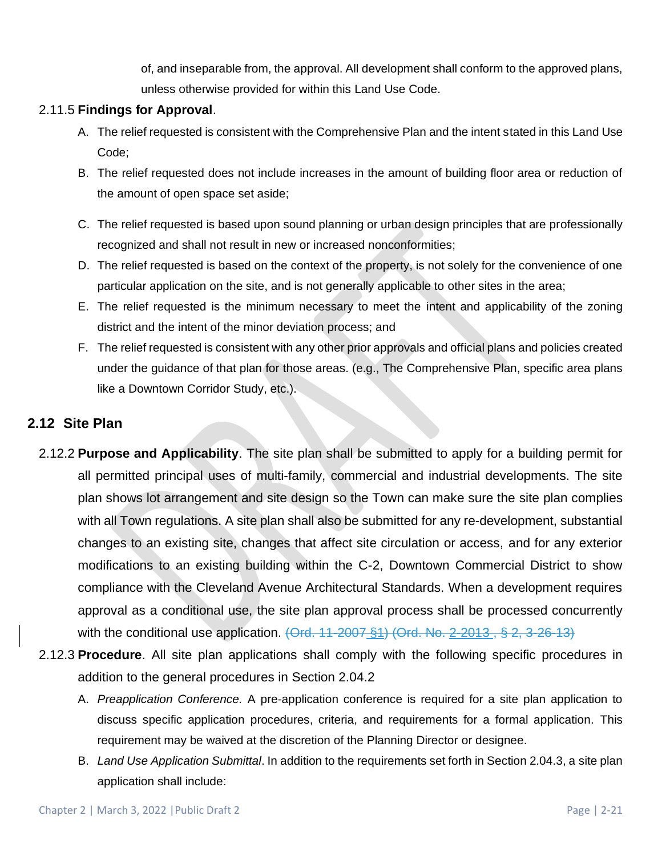of, and inseparable from, the approval. All development shall conform to the approved plans, unless otherwise provided for within this Land Use Code.

### 2.11.5 **Findings for Approval**.

- A. The relief requested is consistent with the Comprehensive Plan and the intent stated in this Land Use Code;
- B. The relief requested does not include increases in the amount of building floor area or reduction of the amount of open space set aside;
- C. The relief requested is based upon sound planning or urban design principles that are professionally recognized and shall not result in new or increased nonconformities;
- D. The relief requested is based on the context of the property, is not solely for the convenience of one particular application on the site, and is not generally applicable to other sites in the area;
- E. The relief requested is the minimum necessary to meet the intent and applicability of the zoning district and the intent of the minor deviation process; and
- F. The relief requested is consistent with any other prior approvals and official plans and policies created under the guidance of that plan for those areas. (e.g., The Comprehensive Plan, specific area plans like a Downtown Corridor Study, etc.).

## **2.12 Site Plan**

- 2.12.2 **Purpose and Applicability**. The site plan shall be submitted to apply for a building permit for all permitted principal uses of multi-family, commercial and industrial developments. The site plan shows lot arrangement and site design so the Town can make sure the site plan complies with all Town regulations. A site plan shall also be submitted for any re-development, substantial changes to an existing site, changes that affect site circulation or access, and for any exterior modifications to an existing building within the C-2, Downtown Commercial District to show compliance with the Cleveland Avenue Architectural Standards. When a development requires approval as a conditional use, the site plan approval process shall be processed concurrently with the conditional use application. (Ord. 11-2007 §1) (Ord. No. 2-2013, § 2, 3-26-13)
- 2.12.3 **Procedure**. All site plan applications shall comply with the following specific procedures in addition to the general procedures in Section 2.04.2
	- A. *Preapplication Conference.* A pre-application conference is required for a site plan application to discuss specific application procedures, criteria, and requirements for a formal application. This requirement may be waived at the discretion of the Planning Director or designee.
	- B. *Land Use Application Submittal*. In addition to the requirements set forth in Section 2.04.3, a site plan application shall include: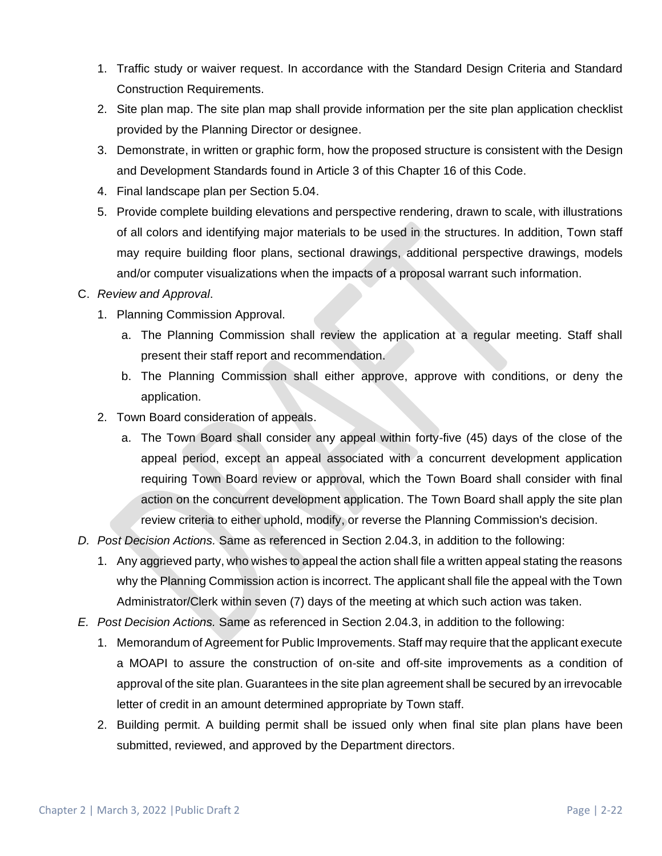- 1. Traffic study or waiver request. In accordance with the Standard Design Criteria and Standard Construction Requirements.
- 2. Site plan map. The site plan map shall provide information per the site plan application checklist provided by the Planning Director or designee.
- 3. Demonstrate, in written or graphic form, how the proposed structure is consistent with the Design and Development Standards found in Article 3 of this Chapter 16 of this Code.
- 4. Final landscape plan per Section 5.04.
- 5. Provide complete building elevations and perspective rendering, drawn to scale, with illustrations of all colors and identifying major materials to be used in the structures. In addition, Town staff may require building floor plans, sectional drawings, additional perspective drawings, models and/or computer visualizations when the impacts of a proposal warrant such information.

#### C. *Review and Approval*.

- 1. Planning Commission Approval.
	- a. The Planning Commission shall review the application at a regular meeting. Staff shall present their staff report and recommendation.
	- b. The Planning Commission shall either approve, approve with conditions, or deny the application.
- 2. Town Board consideration of appeals.
	- a. The Town Board shall consider any appeal within forty-five (45) days of the close of the appeal period, except an appeal associated with a concurrent development application requiring Town Board review or approval, which the Town Board shall consider with final action on the concurrent development application. The Town Board shall apply the site plan review criteria to either uphold, modify, or reverse the Planning Commission's decision.
- *D. Post Decision Actions.* Same as referenced in Section 2.04.3, in addition to the following:
	- 1. Any aggrieved party, who wishes to appeal the action shall file a written appeal stating the reasons why the Planning Commission action is incorrect. The applicant shall file the appeal with the Town Administrator/Clerk within seven (7) days of the meeting at which such action was taken.
- *E. Post Decision Actions.* Same as referenced in Section 2.04.3, in addition to the following:
	- 1. Memorandum of Agreement for Public Improvements. Staff may require that the applicant execute a MOAPI to assure the construction of on-site and off-site improvements as a condition of approval of the site plan. Guarantees in the site plan agreement shall be secured by an irrevocable letter of credit in an amount determined appropriate by Town staff.
	- 2. Building permit. A building permit shall be issued only when final site plan plans have been submitted, reviewed, and approved by the Department directors.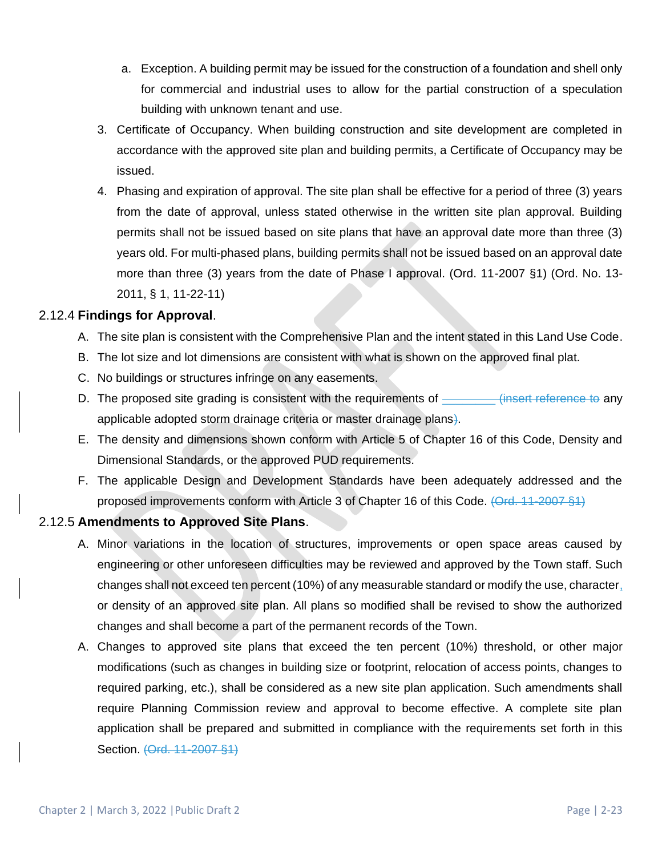- a. Exception. A building permit may be issued for the construction of a foundation and shell only for commercial and industrial uses to allow for the partial construction of a speculation building with unknown tenant and use.
- 3. Certificate of Occupancy. When building construction and site development are completed in accordance with the approved site plan and building permits, a Certificate of Occupancy may be issued.
- 4. Phasing and expiration of approval. The site plan shall be effective for a period of three (3) years from the date of approval, unless stated otherwise in the written site plan approval. Building permits shall not be issued based on site plans that have an approval date more than three (3) years old. For multi-phased plans, building permits shall not be issued based on an approval date more than three (3) years from the date of Phase I approval. (Ord. 11-2007 §1) (Ord. No. 13- 2011, § 1, 11-22-11)

### 2.12.4 **Findings for Approval**.

- A. The site plan is consistent with the Comprehensive Plan and the intent stated in this Land Use Code.
- B. The lot size and lot dimensions are consistent with what is shown on the approved final plat.
- C. No buildings or structures infringe on any easements.
- D. The proposed site grading is consistent with the requirements of \_\_\_\_\_\_\_\_\_(insert reference to any applicable adopted storm drainage criteria or master drainage plans).
- E. The density and dimensions shown conform with Article 5 of Chapter 16 of this Code, Density and Dimensional Standards, or the approved PUD requirements.
- F. The applicable Design and Development Standards have been adequately addressed and the proposed improvements conform with Article 3 of Chapter 16 of this Code. (Ord. 11-2007 §1)

## 2.12.5 **Amendments to Approved Site Plans**.

- A. Minor variations in the location of structures, improvements or open space areas caused by engineering or other unforeseen difficulties may be reviewed and approved by the Town staff. Such changes shall not exceed ten percent (10%) of any measurable standard or modify the use, character, or density of an approved site plan. All plans so modified shall be revised to show the authorized changes and shall become a part of the permanent records of the Town.
- A. Changes to approved site plans that exceed the ten percent (10%) threshold, or other major modifications (such as changes in building size or footprint, relocation of access points, changes to required parking, etc.), shall be considered as a new site plan application. Such amendments shall require Planning Commission review and approval to become effective. A complete site plan application shall be prepared and submitted in compliance with the requirements set forth in this Section. (Ord. 11-2007 §1)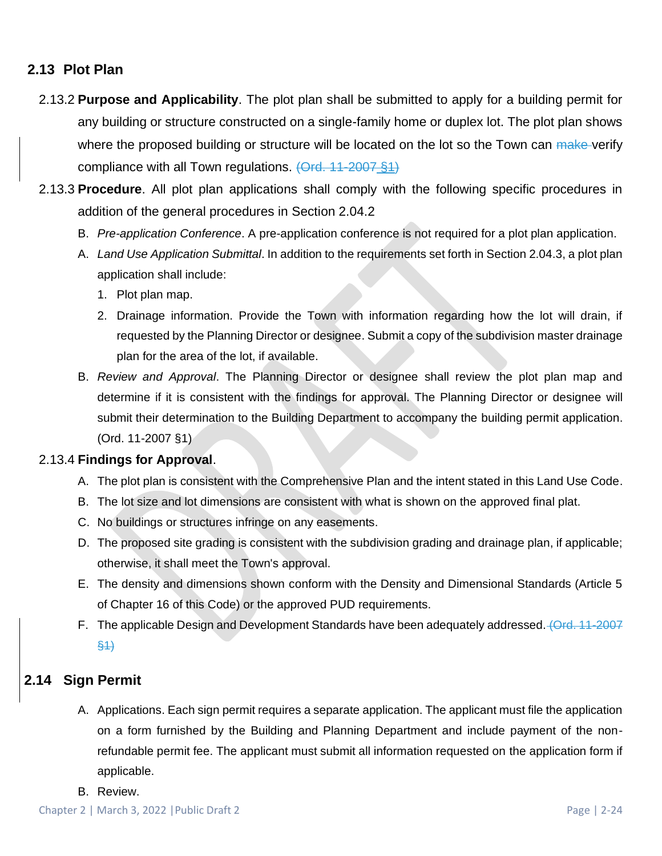## **2.13 Plot Plan**

- 2.13.2 **Purpose and Applicability**. The plot plan shall be submitted to apply for a building permit for any building or structure constructed on a single-family home or duplex lot. The plot plan shows where the proposed building or structure will be located on the lot so the Town can make verify compliance with all Town regulations. (Ord. 11-2007 §1)
- 2.13.3 **Procedure**. All plot plan applications shall comply with the following specific procedures in addition of the general procedures in Section 2.04.2
	- B. *Pre-application Conference*. A pre-application conference is not required for a plot plan application.
	- A. *Land Use Application Submittal*. In addition to the requirements set forth in Section 2.04.3, a plot plan application shall include:
		- 1. Plot plan map.
		- 2. Drainage information. Provide the Town with information regarding how the lot will drain, if requested by the Planning Director or designee. Submit a copy of the subdivision master drainage plan for the area of the lot, if available.
	- B. *Review and Approval*. The Planning Director or designee shall review the plot plan map and determine if it is consistent with the findings for approval. The Planning Director or designee will submit their determination to the Building Department to accompany the building permit application. (Ord. 11-2007 §1)

#### 2.13.4 **Findings for Approval**.

- A. The plot plan is consistent with the Comprehensive Plan and the intent stated in this Land Use Code.
- B. The lot size and lot dimensions are consistent with what is shown on the approved final plat.
- C. No buildings or structures infringe on any easements.
- D. The proposed site grading is consistent with the subdivision grading and drainage plan, if applicable; otherwise, it shall meet the Town's approval.
- E. The density and dimensions shown conform with the Density and Dimensional Standards (Article 5 of Chapter 16 of this Code) or the approved PUD requirements.
- F. The applicable Design and Development Standards have been adequately addressed. (Ord. 11-2007 §1)

## **2.14 Sign Permit**

- A. Applications. Each sign permit requires a separate application. The applicant must file the application on a form furnished by the Building and Planning Department and include payment of the nonrefundable permit fee. The applicant must submit all information requested on the application form if applicable.
- B. Review.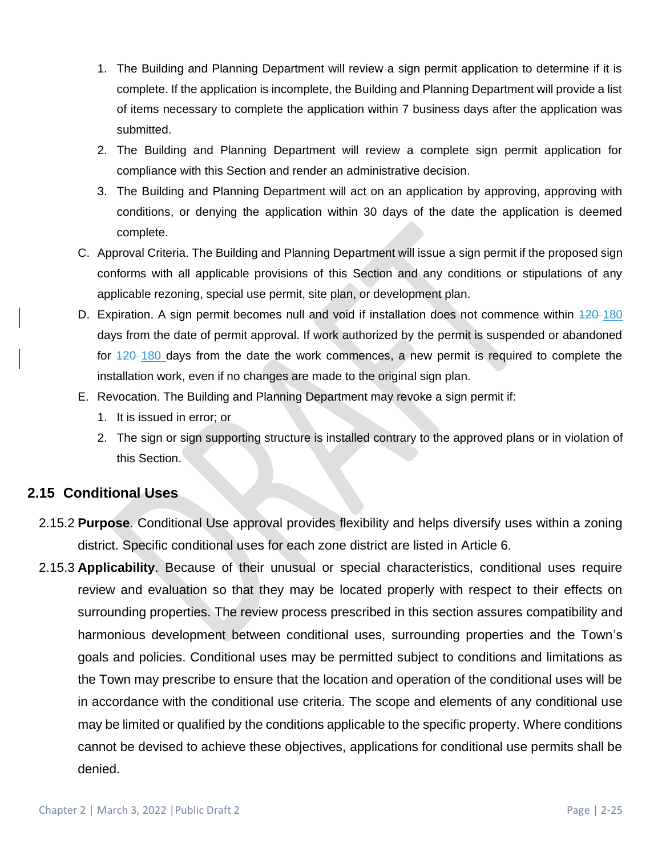- 1. The Building and Planning Department will review a sign permit application to determine if it is complete. If the application is incomplete, the Building and Planning Department will provide a list of items necessary to complete the application within 7 business days after the application was submitted.
- 2. The Building and Planning Department will review a complete sign permit application for compliance with this Section and render an administrative decision.
- 3. The Building and Planning Department will act on an application by approving, approving with conditions, or denying the application within 30 days of the date the application is deemed complete.
- C. Approval Criteria. The Building and Planning Department will issue a sign permit if the proposed sign conforms with all applicable provisions of this Section and any conditions or stipulations of any applicable rezoning, special use permit, site plan, or development plan.
- D. Expiration. A sign permit becomes null and void if installation does not commence within  $420-180$ days from the date of permit approval. If work authorized by the permit is suspended or abandoned for  $\frac{420-180}{2}$  days from the date the work commences, a new permit is required to complete the installation work, even if no changes are made to the original sign plan.
- E. Revocation. The Building and Planning Department may revoke a sign permit if:
	- 1. It is issued in error; or
	- 2. The sign or sign supporting structure is installed contrary to the approved plans or in violation of this Section.

## **2.15 Conditional Uses**

- 2.15.2 **Purpose**. Conditional Use approval provides flexibility and helps diversify uses within a zoning district. Specific conditional uses for each zone district are listed in Article 6.
- 2.15.3 **Applicability**. Because of their unusual or special characteristics, conditional uses require review and evaluation so that they may be located properly with respect to their effects on surrounding properties. The review process prescribed in this section assures compatibility and harmonious development between conditional uses, surrounding properties and the Town's goals and policies. Conditional uses may be permitted subject to conditions and limitations as the Town may prescribe to ensure that the location and operation of the conditional uses will be in accordance with the conditional use criteria. The scope and elements of any conditional use may be limited or qualified by the conditions applicable to the specific property. Where conditions cannot be devised to achieve these objectives, applications for conditional use permits shall be denied.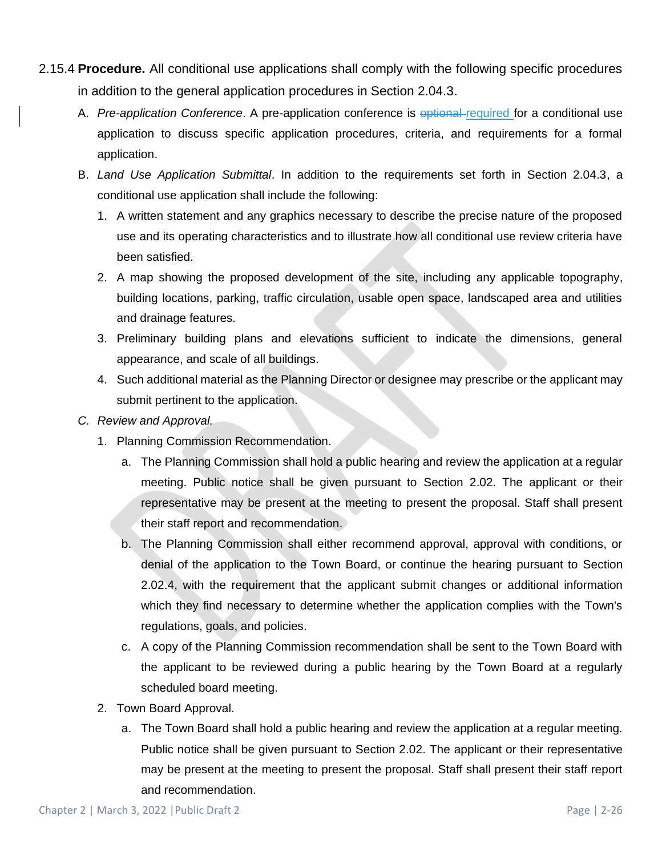- 2.15.4 **Procedure.** All conditional use applications shall comply with the following specific procedures in addition to the general application procedures in Section 2.04.3.
	- A. *Pre-application Conference*. A pre-application conference is optional required for a conditional use application to discuss specific application procedures, criteria, and requirements for a formal application.
	- B. *Land Use Application Submittal*. In addition to the requirements set forth in Section 2.04.3, a conditional use application shall include the following:
		- 1. A written statement and any graphics necessary to describe the precise nature of the proposed use and its operating characteristics and to illustrate how all conditional use review criteria have been satisfied.
		- 2. A map showing the proposed development of the site, including any applicable topography, building locations, parking, traffic circulation, usable open space, landscaped area and utilities and drainage features.
		- 3. Preliminary building plans and elevations sufficient to indicate the dimensions, general appearance, and scale of all buildings.
		- 4. Such additional material as the Planning Director or designee may prescribe or the applicant may submit pertinent to the application.
	- *C. Review and Approval.* 
		- 1. Planning Commission Recommendation.
			- a. The Planning Commission shall hold a public hearing and review the application at a regular meeting. Public notice shall be given pursuant to Section 2.02. The applicant or their representative may be present at the meeting to present the proposal. Staff shall present their staff report and recommendation.
			- b. The Planning Commission shall either recommend approval, approval with conditions, or denial of the application to the Town Board, or continue the hearing pursuant to Section 2.02.4, with the requirement that the applicant submit changes or additional information which they find necessary to determine whether the application complies with the Town's regulations, goals, and policies.
			- c. A copy of the Planning Commission recommendation shall be sent to the Town Board with the applicant to be reviewed during a public hearing by the Town Board at a regularly scheduled board meeting.
		- 2. Town Board Approval.
			- a. The Town Board shall hold a public hearing and review the application at a regular meeting. Public notice shall be given pursuant to Section 2.02. The applicant or their representative may be present at the meeting to present the proposal. Staff shall present their staff report and recommendation.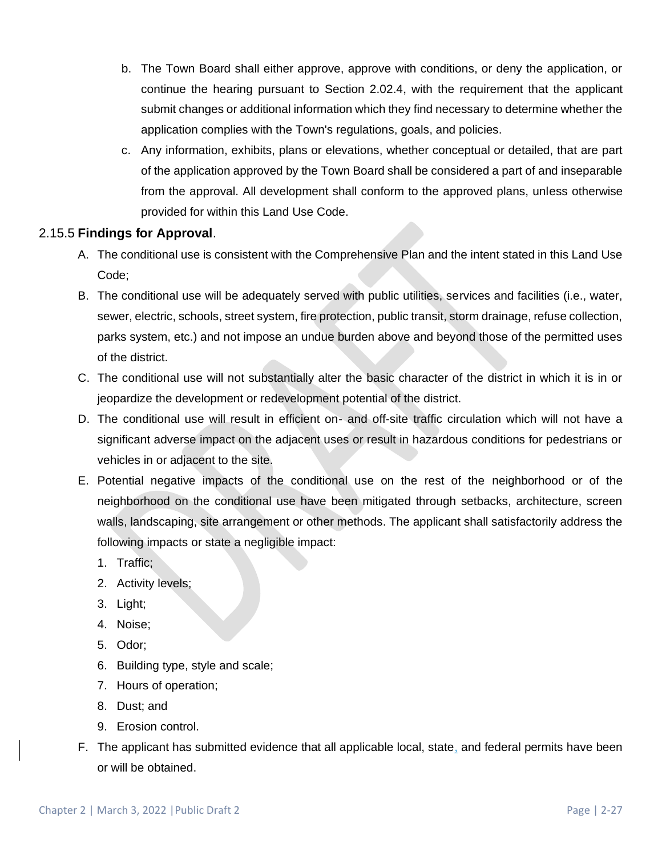- b. The Town Board shall either approve, approve with conditions, or deny the application, or continue the hearing pursuant to Section 2.02.4, with the requirement that the applicant submit changes or additional information which they find necessary to determine whether the application complies with the Town's regulations, goals, and policies.
- c. Any information, exhibits, plans or elevations, whether conceptual or detailed, that are part of the application approved by the Town Board shall be considered a part of and inseparable from the approval. All development shall conform to the approved plans, unless otherwise provided for within this Land Use Code.

### 2.15.5 **Findings for Approval**.

- A. The conditional use is consistent with the Comprehensive Plan and the intent stated in this Land Use Code;
- B. The conditional use will be adequately served with public utilities, services and facilities (i.e., water, sewer, electric, schools, street system, fire protection, public transit, storm drainage, refuse collection, parks system, etc.) and not impose an undue burden above and beyond those of the permitted uses of the district.
- C. The conditional use will not substantially alter the basic character of the district in which it is in or jeopardize the development or redevelopment potential of the district.
- D. The conditional use will result in efficient on- and off-site traffic circulation which will not have a significant adverse impact on the adjacent uses or result in hazardous conditions for pedestrians or vehicles in or adjacent to the site.
- E. Potential negative impacts of the conditional use on the rest of the neighborhood or of the neighborhood on the conditional use have been mitigated through setbacks, architecture, screen walls, landscaping, site arrangement or other methods. The applicant shall satisfactorily address the following impacts or state a negligible impact:
	- 1. Traffic;
	- 2. Activity levels;
	- 3. Light;
	- 4. Noise;
	- 5. Odor;
	- 6. Building type, style and scale;
	- 7. Hours of operation;
	- 8. Dust; and
	- 9. Erosion control.
- F. The applicant has submitted evidence that all applicable local, state, and federal permits have been or will be obtained.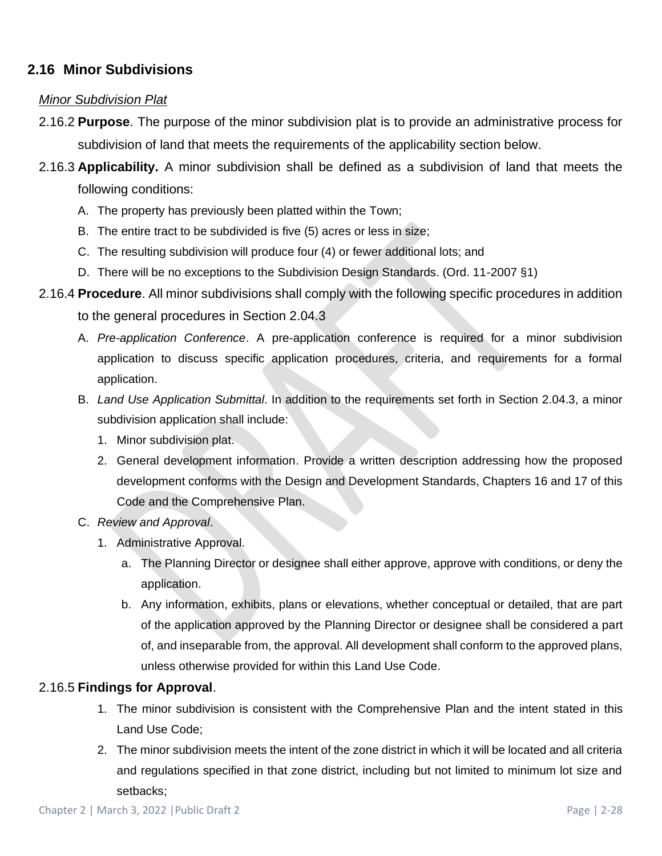## **2.16 Minor Subdivisions**

### *Minor Subdivision Plat*

- 2.16.2 **Purpose**. The purpose of the minor subdivision plat is to provide an administrative process for subdivision of land that meets the requirements of the applicability section below.
- 2.16.3 **Applicability.** A minor subdivision shall be defined as a subdivision of land that meets the following conditions:
	- A. The property has previously been platted within the Town;
	- B. The entire tract to be subdivided is five (5) acres or less in size;
	- C. The resulting subdivision will produce four (4) or fewer additional lots; and
	- D. There will be no exceptions to the Subdivision Design Standards. (Ord. 11-2007 §1)
- 2.16.4 **Procedure**. All minor subdivisions shall comply with the following specific procedures in addition
	- to the general procedures in Section 2.04.3
	- A. *Pre-application Conference*. A pre-application conference is required for a minor subdivision application to discuss specific application procedures, criteria, and requirements for a formal application.
	- B. *Land Use Application Submittal*. In addition to the requirements set forth in Section 2.04.3, a minor subdivision application shall include:
		- 1. Minor subdivision plat.
		- 2. General development information. Provide a written description addressing how the proposed development conforms with the Design and Development Standards, Chapters 16 and 17 of this Code and the Comprehensive Plan.
	- C. *Review and Approval*.
		- 1. Administrative Approval.
			- a. The Planning Director or designee shall either approve, approve with conditions, or deny the application.
			- b. Any information, exhibits, plans or elevations, whether conceptual or detailed, that are part of the application approved by the Planning Director or designee shall be considered a part of, and inseparable from, the approval. All development shall conform to the approved plans, unless otherwise provided for within this Land Use Code.

#### 2.16.5 **Findings for Approval**.

- 1. The minor subdivision is consistent with the Comprehensive Plan and the intent stated in this Land Use Code;
- 2. The minor subdivision meets the intent of the zone district in which it will be located and all criteria and regulations specified in that zone district, including but not limited to minimum lot size and setbacks;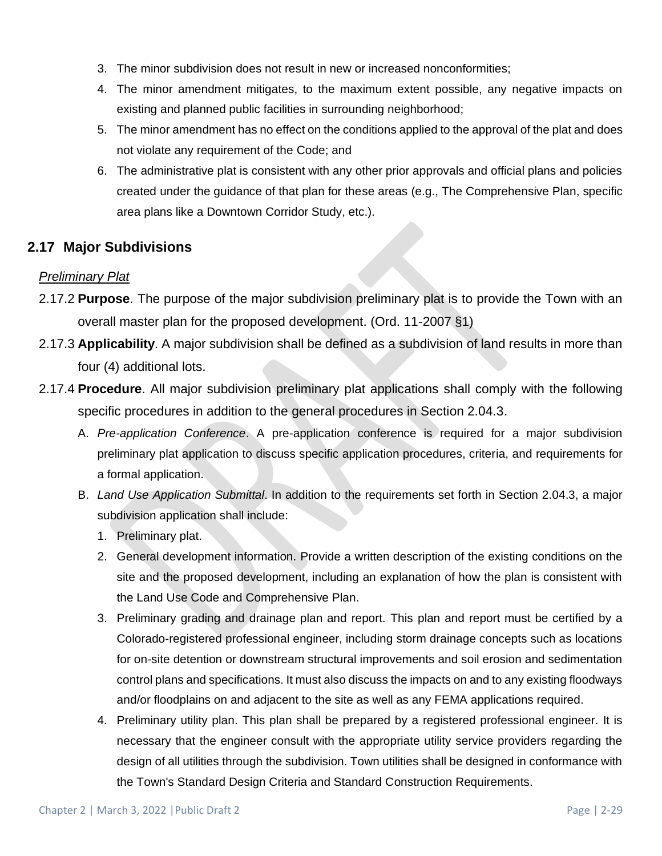- 3. The minor subdivision does not result in new or increased nonconformities;
- 4. The minor amendment mitigates, to the maximum extent possible, any negative impacts on existing and planned public facilities in surrounding neighborhood;
- 5. The minor amendment has no effect on the conditions applied to the approval of the plat and does not violate any requirement of the Code; and
- 6. The administrative plat is consistent with any other prior approvals and official plans and policies created under the guidance of that plan for these areas (e.g., The Comprehensive Plan, specific area plans like a Downtown Corridor Study, etc.).

## **2.17 Major Subdivisions**

## *Preliminary Plat*

- 2.17.2 **Purpose**. The purpose of the major subdivision preliminary plat is to provide the Town with an overall master plan for the proposed development. (Ord. 11-2007 §1)
- 2.17.3 **Applicability**. A major subdivision shall be defined as a subdivision of land results in more than four (4) additional lots.
- 2.17.4 **Procedure**. All major subdivision preliminary plat applications shall comply with the following specific procedures in addition to the general procedures in Section 2.04.3.
	- A. *Pre-application Conference*. A pre-application conference is required for a major subdivision preliminary plat application to discuss specific application procedures, criteria, and requirements for a formal application.
	- B. *Land Use Application Submittal*. In addition to the requirements set forth in Section 2.04.3, a major subdivision application shall include:
		- 1. Preliminary plat.
		- 2. General development information. Provide a written description of the existing conditions on the site and the proposed development, including an explanation of how the plan is consistent with the Land Use Code and Comprehensive Plan.
		- 3. Preliminary grading and drainage plan and report. This plan and report must be certified by a Colorado-registered professional engineer, including storm drainage concepts such as locations for on-site detention or downstream structural improvements and soil erosion and sedimentation control plans and specifications. It must also discuss the impacts on and to any existing floodways and/or floodplains on and adjacent to the site as well as any FEMA applications required.
		- 4. Preliminary utility plan. This plan shall be prepared by a registered professional engineer. It is necessary that the engineer consult with the appropriate utility service providers regarding the design of all utilities through the subdivision. Town utilities shall be designed in conformance with the Town's Standard Design Criteria and Standard Construction Requirements.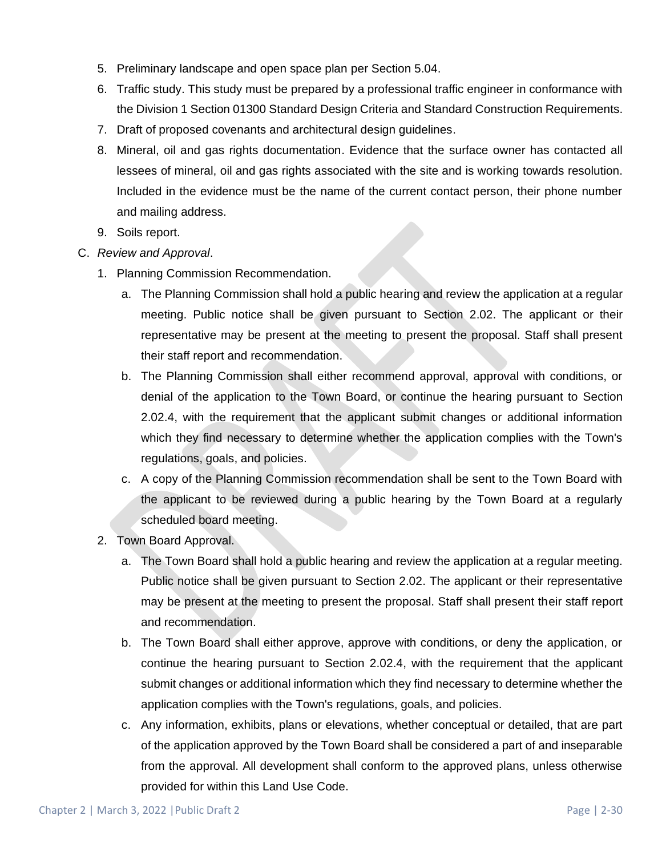- 5. Preliminary landscape and open space plan per Section 5.04.
- 6. Traffic study. This study must be prepared by a professional traffic engineer in conformance with the Division 1 Section 01300 Standard Design Criteria and Standard Construction Requirements.
- 7. Draft of proposed covenants and architectural design guidelines.
- 8. Mineral, oil and gas rights documentation. Evidence that the surface owner has contacted all lessees of mineral, oil and gas rights associated with the site and is working towards resolution. Included in the evidence must be the name of the current contact person, their phone number and mailing address.
- 9. Soils report.
- C. *Review and Approval*.
	- 1. Planning Commission Recommendation.
		- a. The Planning Commission shall hold a public hearing and review the application at a regular meeting. Public notice shall be given pursuant to Section 2.02. The applicant or their representative may be present at the meeting to present the proposal. Staff shall present their staff report and recommendation.
		- b. The Planning Commission shall either recommend approval, approval with conditions, or denial of the application to the Town Board, or continue the hearing pursuant to Section 2.02.4, with the requirement that the applicant submit changes or additional information which they find necessary to determine whether the application complies with the Town's regulations, goals, and policies.
		- c. A copy of the Planning Commission recommendation shall be sent to the Town Board with the applicant to be reviewed during a public hearing by the Town Board at a regularly scheduled board meeting.
	- 2. Town Board Approval.
		- a. The Town Board shall hold a public hearing and review the application at a regular meeting. Public notice shall be given pursuant to Section 2.02. The applicant or their representative may be present at the meeting to present the proposal. Staff shall present their staff report and recommendation.
		- b. The Town Board shall either approve, approve with conditions, or deny the application, or continue the hearing pursuant to Section 2.02.4, with the requirement that the applicant submit changes or additional information which they find necessary to determine whether the application complies with the Town's regulations, goals, and policies.
		- c. Any information, exhibits, plans or elevations, whether conceptual or detailed, that are part of the application approved by the Town Board shall be considered a part of and inseparable from the approval. All development shall conform to the approved plans, unless otherwise provided for within this Land Use Code.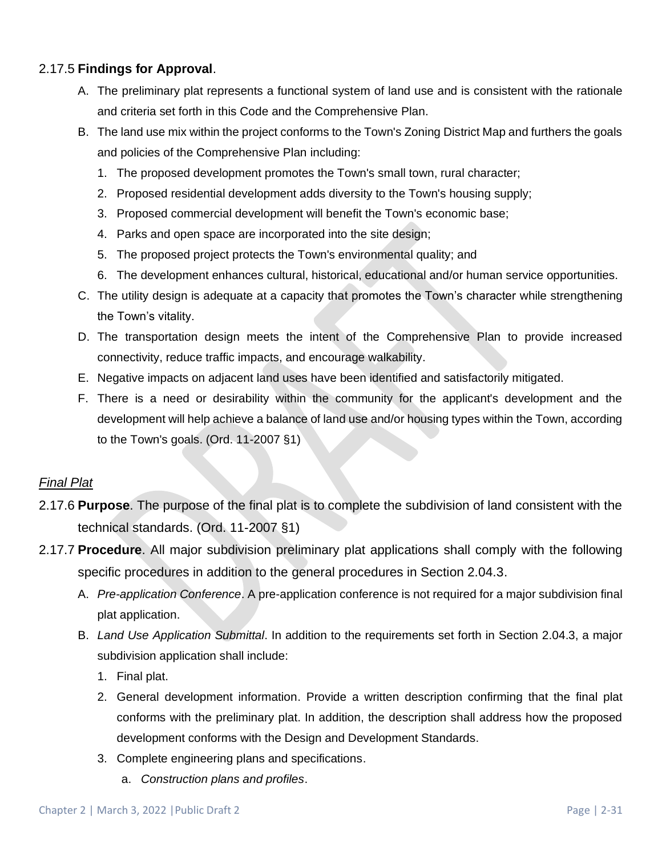## 2.17.5 **Findings for Approval**.

- A. The preliminary plat represents a functional system of land use and is consistent with the rationale and criteria set forth in this Code and the Comprehensive Plan.
- B. The land use mix within the project conforms to the Town's Zoning District Map and furthers the goals and policies of the Comprehensive Plan including:
	- 1. The proposed development promotes the Town's small town, rural character;
	- 2. Proposed residential development adds diversity to the Town's housing supply;
	- 3. Proposed commercial development will benefit the Town's economic base;
	- 4. Parks and open space are incorporated into the site design;
	- 5. The proposed project protects the Town's environmental quality; and
	- 6. The development enhances cultural, historical, educational and/or human service opportunities.
- C. The utility design is adequate at a capacity that promotes the Town's character while strengthening the Town's vitality.
- D. The transportation design meets the intent of the Comprehensive Plan to provide increased connectivity, reduce traffic impacts, and encourage walkability.
- E. Negative impacts on adjacent land uses have been identified and satisfactorily mitigated.
- F. There is a need or desirability within the community for the applicant's development and the development will help achieve a balance of land use and/or housing types within the Town, according to the Town's goals. (Ord. 11-2007 §1)

## *Final Plat*

- 2.17.6 **Purpose**. The purpose of the final plat is to complete the subdivision of land consistent with the technical standards. (Ord. 11-2007 §1)
- 2.17.7 **Procedure**. All major subdivision preliminary plat applications shall comply with the following specific procedures in addition to the general procedures in Section 2.04.3.
	- A. *Pre-application Conference*. A pre-application conference is not required for a major subdivision final plat application.
	- B. *Land Use Application Submittal*. In addition to the requirements set forth in Section 2.04.3, a major subdivision application shall include:
		- 1. Final plat.
		- 2. General development information. Provide a written description confirming that the final plat conforms with the preliminary plat. In addition, the description shall address how the proposed development conforms with the Design and Development Standards.
		- 3. Complete engineering plans and specifications.
			- a. *Construction plans and profiles*.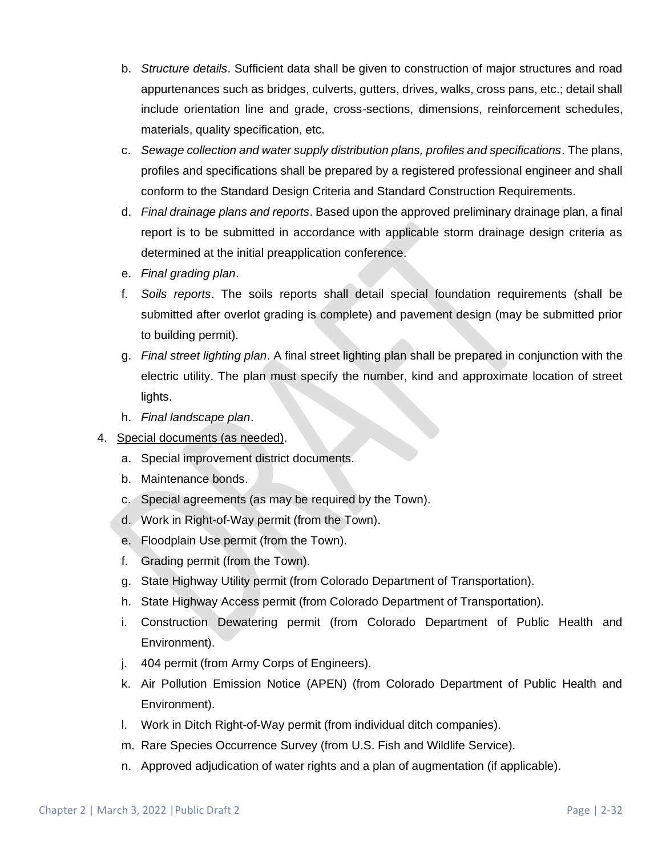- b. *Structure details*. Sufficient data shall be given to construction of major structures and road appurtenances such as bridges, culverts, gutters, drives, walks, cross pans, etc.; detail shall include orientation line and grade, cross-sections, dimensions, reinforcement schedules, materials, quality specification, etc.
- c. *Sewage collection and water supply distribution plans, profiles and specifications*. The plans, profiles and specifications shall be prepared by a registered professional engineer and shall conform to the Standard Design Criteria and Standard Construction Requirements.
- d. *Final drainage plans and reports*. Based upon the approved preliminary drainage plan, a final report is to be submitted in accordance with applicable storm drainage design criteria as determined at the initial preapplication conference.
- e. *Final grading plan*.
- f. *Soils reports*. The soils reports shall detail special foundation requirements (shall be submitted after overlot grading is complete) and pavement design (may be submitted prior to building permit).
- g. *Final street lighting plan*. A final street lighting plan shall be prepared in conjunction with the electric utility. The plan must specify the number, kind and approximate location of street lights.
- h. *Final landscape plan*.
- 4. Special documents (as needed).
	- a. Special improvement district documents.
	- b. Maintenance bonds.
	- c. Special agreements (as may be required by the Town).
	- d. Work in Right-of-Way permit (from the Town).
	- e. Floodplain Use permit (from the Town).
	- f. Grading permit (from the Town).
	- g. State Highway Utility permit (from Colorado Department of Transportation).
	- h. State Highway Access permit (from Colorado Department of Transportation).
	- i. Construction Dewatering permit (from Colorado Department of Public Health and Environment).
	- j. 404 permit (from Army Corps of Engineers).
	- k. Air Pollution Emission Notice (APEN) (from Colorado Department of Public Health and Environment).
	- l. Work in Ditch Right-of-Way permit (from individual ditch companies).
	- m. Rare Species Occurrence Survey (from U.S. Fish and Wildlife Service).
	- n. Approved adjudication of water rights and a plan of augmentation (if applicable).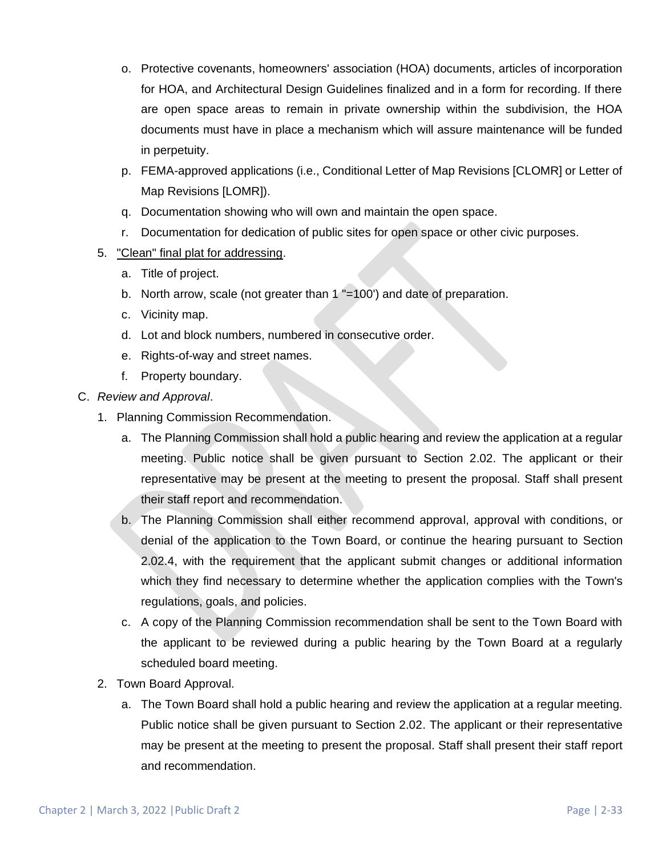- o. Protective covenants, homeowners' association (HOA) documents, articles of incorporation for HOA, and Architectural Design Guidelines finalized and in a form for recording. If there are open space areas to remain in private ownership within the subdivision, the HOA documents must have in place a mechanism which will assure maintenance will be funded in perpetuity.
- p. FEMA-approved applications (i.e., Conditional Letter of Map Revisions [CLOMR] or Letter of Map Revisions [LOMR]).
- q. Documentation showing who will own and maintain the open space.
- r. Documentation for dedication of public sites for open space or other civic purposes.
- 5. "Clean" final plat for addressing.
	- a. Title of project.
	- b. North arrow, scale (not greater than 1 "=100') and date of preparation.
	- c. Vicinity map.
	- d. Lot and block numbers, numbered in consecutive order.
	- e. Rights-of-way and street names.
	- f. Property boundary.
- C. *Review and Approval*.
	- 1. Planning Commission Recommendation.
		- a. The Planning Commission shall hold a public hearing and review the application at a regular meeting. Public notice shall be given pursuant to Section 2.02. The applicant or their representative may be present at the meeting to present the proposal. Staff shall present their staff report and recommendation.
		- b. The Planning Commission shall either recommend approval, approval with conditions, or denial of the application to the Town Board, or continue the hearing pursuant to Section 2.02.4, with the requirement that the applicant submit changes or additional information which they find necessary to determine whether the application complies with the Town's regulations, goals, and policies.
		- c. A copy of the Planning Commission recommendation shall be sent to the Town Board with the applicant to be reviewed during a public hearing by the Town Board at a regularly scheduled board meeting.
	- 2. Town Board Approval.
		- a. The Town Board shall hold a public hearing and review the application at a regular meeting. Public notice shall be given pursuant to Section 2.02. The applicant or their representative may be present at the meeting to present the proposal. Staff shall present their staff report and recommendation.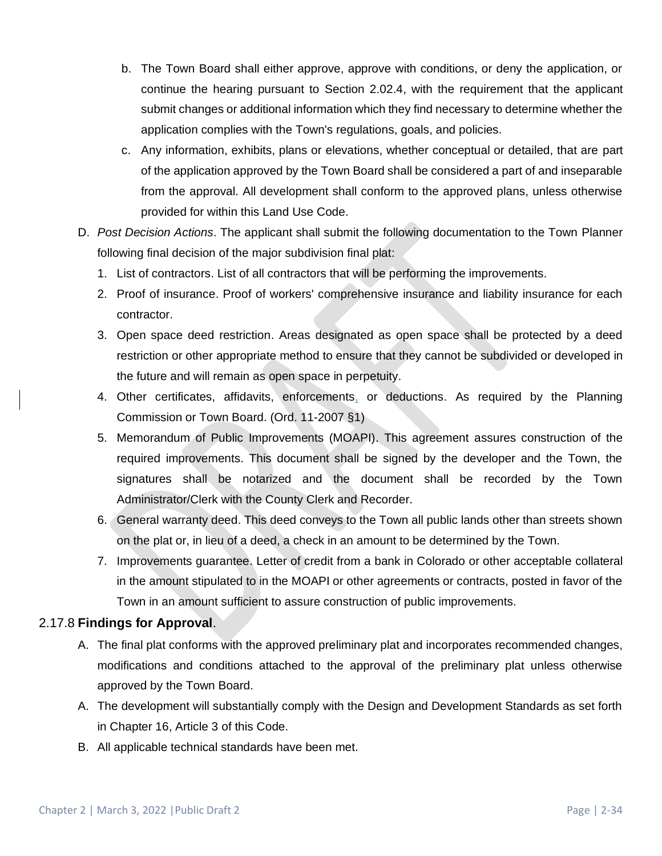- b. The Town Board shall either approve, approve with conditions, or deny the application, or continue the hearing pursuant to Section 2.02.4, with the requirement that the applicant submit changes or additional information which they find necessary to determine whether the application complies with the Town's regulations, goals, and policies.
- c. Any information, exhibits, plans or elevations, whether conceptual or detailed, that are part of the application approved by the Town Board shall be considered a part of and inseparable from the approval. All development shall conform to the approved plans, unless otherwise provided for within this Land Use Code.
- D. *Post Decision Actions*. The applicant shall submit the following documentation to the Town Planner following final decision of the major subdivision final plat:
	- 1. List of contractors. List of all contractors that will be performing the improvements.
	- 2. Proof of insurance. Proof of workers' comprehensive insurance and liability insurance for each contractor.
	- 3. Open space deed restriction. Areas designated as open space shall be protected by a deed restriction or other appropriate method to ensure that they cannot be subdivided or developed in the future and will remain as open space in perpetuity.
	- 4. Other certificates, affidavits, enforcements, or deductions. As required by the Planning Commission or Town Board. (Ord. 11-2007 §1)
	- 5. Memorandum of Public Improvements (MOAPI). This agreement assures construction of the required improvements. This document shall be signed by the developer and the Town, the signatures shall be notarized and the document shall be recorded by the Town Administrator/Clerk with the County Clerk and Recorder.
	- 6. General warranty deed. This deed conveys to the Town all public lands other than streets shown on the plat or, in lieu of a deed, a check in an amount to be determined by the Town.
	- 7. Improvements guarantee. Letter of credit from a bank in Colorado or other acceptable collateral in the amount stipulated to in the MOAPI or other agreements or contracts, posted in favor of the Town in an amount sufficient to assure construction of public improvements.

## 2.17.8 **Findings for Approval**.

- A. The final plat conforms with the approved preliminary plat and incorporates recommended changes, modifications and conditions attached to the approval of the preliminary plat unless otherwise approved by the Town Board.
- A. The development will substantially comply with the Design and Development Standards as set forth in Chapter 16, Article 3 of this Code.
- B. All applicable technical standards have been met.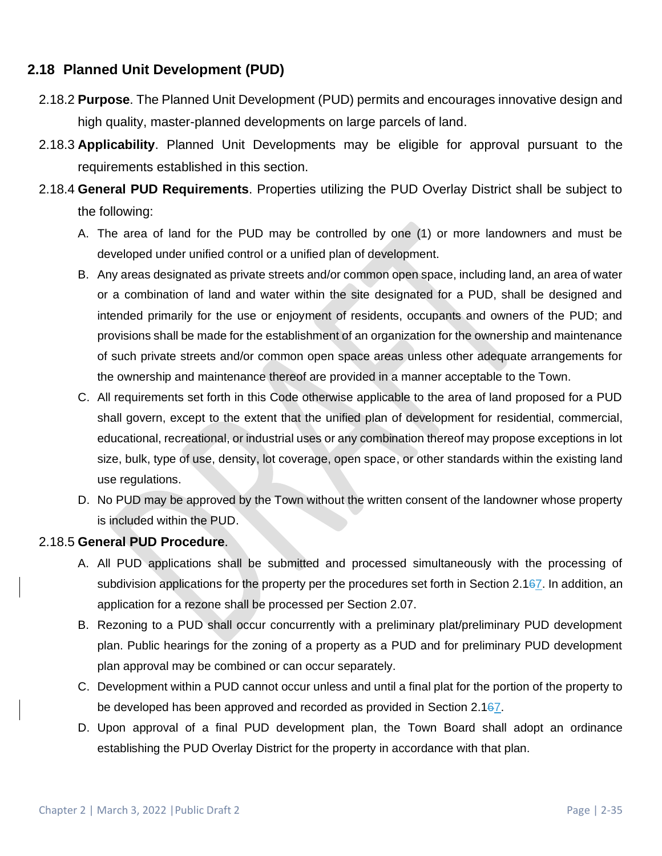## **2.18 Planned Unit Development (PUD)**

- 2.18.2 **Purpose**. The Planned Unit Development (PUD) permits and encourages innovative design and high quality, master-planned developments on large parcels of land.
- 2.18.3 **Applicability**. Planned Unit Developments may be eligible for approval pursuant to the requirements established in this section.
- 2.18.4 **General PUD Requirements**. Properties utilizing the PUD Overlay District shall be subject to the following:
	- A. The area of land for the PUD may be controlled by one (1) or more landowners and must be developed under unified control or a unified plan of development.
	- B. Any areas designated as private streets and/or common open space, including land, an area of water or a combination of land and water within the site designated for a PUD, shall be designed and intended primarily for the use or enjoyment of residents, occupants and owners of the PUD; and provisions shall be made for the establishment of an organization for the ownership and maintenance of such private streets and/or common open space areas unless other adequate arrangements for the ownership and maintenance thereof are provided in a manner acceptable to the Town.
	- C. All requirements set forth in this Code otherwise applicable to the area of land proposed for a PUD shall govern, except to the extent that the unified plan of development for residential, commercial, educational, recreational, or industrial uses or any combination thereof may propose exceptions in lot size, bulk, type of use, density, lot coverage, open space, or other standards within the existing land use regulations.
	- D. No PUD may be approved by the Town without the written consent of the landowner whose property is included within the PUD.

## 2.18.5 **General PUD Procedure**.

- A. All PUD applications shall be submitted and processed simultaneously with the processing of subdivision applications for the property per the procedures set forth in Section 2.167. In addition, an application for a rezone shall be processed per Section 2.07.
- B. Rezoning to a PUD shall occur concurrently with a preliminary plat/preliminary PUD development plan. Public hearings for the zoning of a property as a PUD and for preliminary PUD development plan approval may be combined or can occur separately.
- C. Development within a PUD cannot occur unless and until a final plat for the portion of the property to be developed has been approved and recorded as provided in Section 2.167.
- D. Upon approval of a final PUD development plan, the Town Board shall adopt an ordinance establishing the PUD Overlay District for the property in accordance with that plan.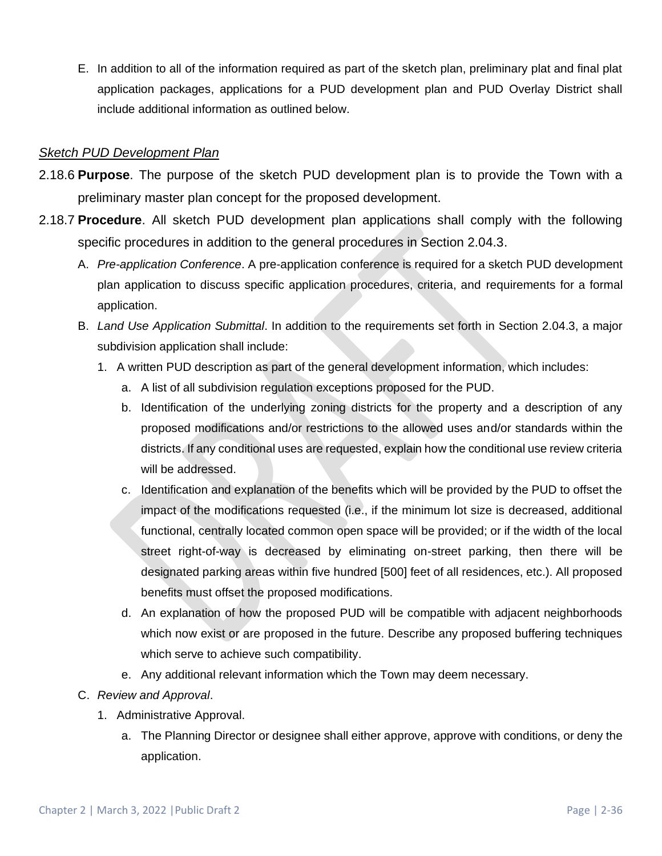E. In addition to all of the information required as part of the sketch plan, preliminary plat and final plat application packages, applications for a PUD development plan and PUD Overlay District shall include additional information as outlined below.

## *Sketch PUD Development Plan*

- 2.18.6 **Purpose**. The purpose of the sketch PUD development plan is to provide the Town with a preliminary master plan concept for the proposed development.
- 2.18.7 **Procedure**. All sketch PUD development plan applications shall comply with the following specific procedures in addition to the general procedures in Section 2.04.3.
	- A. *Pre-application Conference*. A pre-application conference is required for a sketch PUD development plan application to discuss specific application procedures, criteria, and requirements for a formal application.
	- B. *Land Use Application Submittal*. In addition to the requirements set forth in Section 2.04.3, a major subdivision application shall include:
		- 1. A written PUD description as part of the general development information, which includes:
			- a. A list of all subdivision regulation exceptions proposed for the PUD.
			- b. Identification of the underlying zoning districts for the property and a description of any proposed modifications and/or restrictions to the allowed uses and/or standards within the districts. If any conditional uses are requested, explain how the conditional use review criteria will be addressed.
			- c. Identification and explanation of the benefits which will be provided by the PUD to offset the impact of the modifications requested (i.e., if the minimum lot size is decreased, additional functional, centrally located common open space will be provided; or if the width of the local street right-of-way is decreased by eliminating on-street parking, then there will be designated parking areas within five hundred [500] feet of all residences, etc.). All proposed benefits must offset the proposed modifications.
			- d. An explanation of how the proposed PUD will be compatible with adjacent neighborhoods which now exist or are proposed in the future. Describe any proposed buffering techniques which serve to achieve such compatibility.
			- e. Any additional relevant information which the Town may deem necessary.
	- C. *Review and Approval*.
		- 1. Administrative Approval.
			- a. The Planning Director or designee shall either approve, approve with conditions, or deny the application.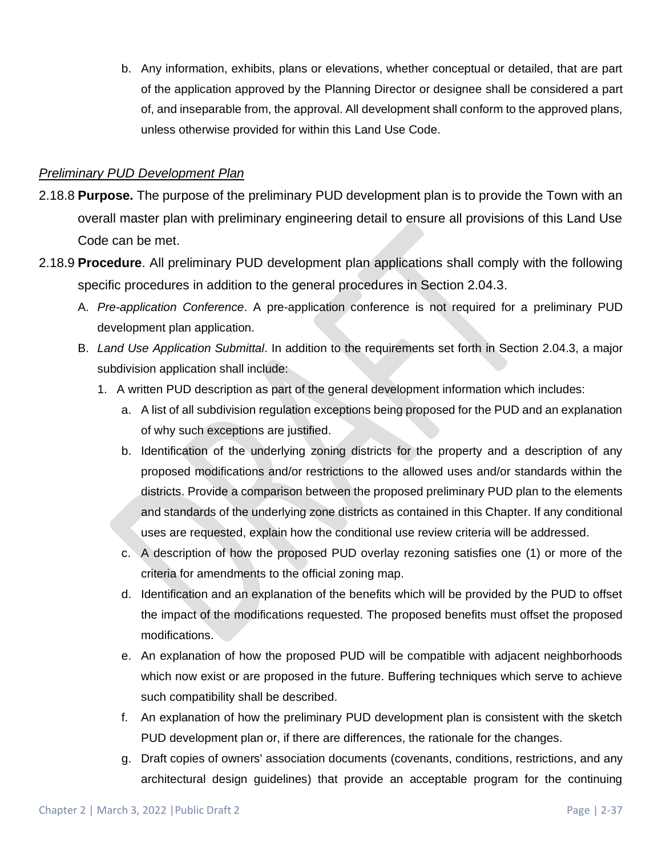b. Any information, exhibits, plans or elevations, whether conceptual or detailed, that are part of the application approved by the Planning Director or designee shall be considered a part of, and inseparable from, the approval. All development shall conform to the approved plans, unless otherwise provided for within this Land Use Code.

### *Preliminary PUD Development Plan*

- 2.18.8 **Purpose.** The purpose of the preliminary PUD development plan is to provide the Town with an overall master plan with preliminary engineering detail to ensure all provisions of this Land Use Code can be met.
- 2.18.9 **Procedure**. All preliminary PUD development plan applications shall comply with the following specific procedures in addition to the general procedures in Section 2.04.3.
	- A. *Pre-application Conference*. A pre-application conference is not required for a preliminary PUD development plan application.
	- B. *Land Use Application Submittal*. In addition to the requirements set forth in Section 2.04.3, a major subdivision application shall include:
		- 1. A written PUD description as part of the general development information which includes:
			- a. A list of all subdivision regulation exceptions being proposed for the PUD and an explanation of why such exceptions are justified.
			- b. Identification of the underlying zoning districts for the property and a description of any proposed modifications and/or restrictions to the allowed uses and/or standards within the districts. Provide a comparison between the proposed preliminary PUD plan to the elements and standards of the underlying zone districts as contained in this Chapter. If any conditional uses are requested, explain how the conditional use review criteria will be addressed.
			- c. A description of how the proposed PUD overlay rezoning satisfies one (1) or more of the criteria for amendments to the official zoning map.
			- d. Identification and an explanation of the benefits which will be provided by the PUD to offset the impact of the modifications requested. The proposed benefits must offset the proposed modifications.
			- e. An explanation of how the proposed PUD will be compatible with adjacent neighborhoods which now exist or are proposed in the future. Buffering techniques which serve to achieve such compatibility shall be described.
			- f. An explanation of how the preliminary PUD development plan is consistent with the sketch PUD development plan or, if there are differences, the rationale for the changes.
			- g. Draft copies of owners' association documents (covenants, conditions, restrictions, and any architectural design guidelines) that provide an acceptable program for the continuing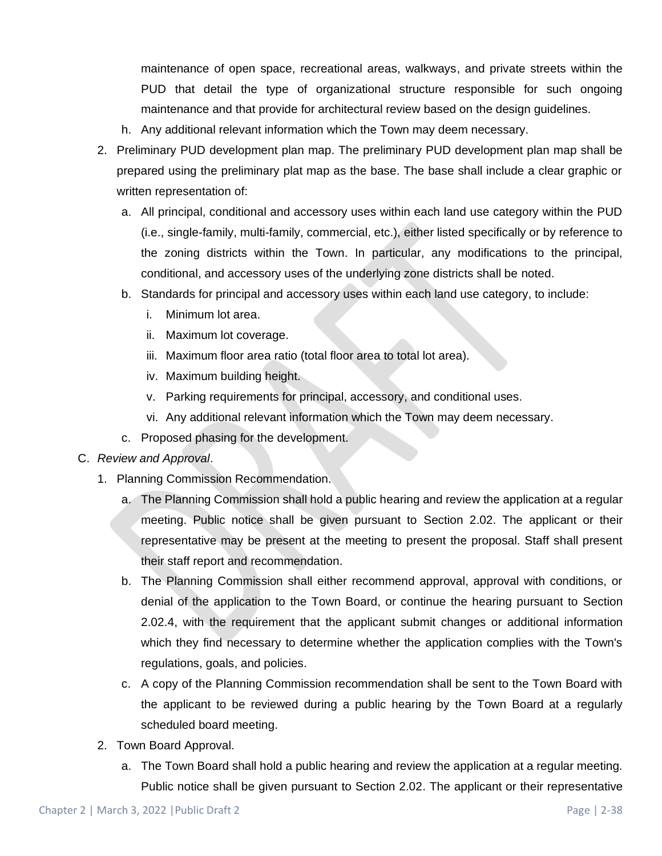maintenance of open space, recreational areas, walkways, and private streets within the PUD that detail the type of organizational structure responsible for such ongoing maintenance and that provide for architectural review based on the design guidelines.

- h. Any additional relevant information which the Town may deem necessary.
- 2. Preliminary PUD development plan map. The preliminary PUD development plan map shall be prepared using the preliminary plat map as the base. The base shall include a clear graphic or written representation of:
	- a. All principal, conditional and accessory uses within each land use category within the PUD (i.e., single-family, multi-family, commercial, etc.), either listed specifically or by reference to the zoning districts within the Town. In particular, any modifications to the principal, conditional, and accessory uses of the underlying zone districts shall be noted.
	- b. Standards for principal and accessory uses within each land use category, to include:
		- i. Minimum lot area.
		- ii. Maximum lot coverage.
		- iii. Maximum floor area ratio (total floor area to total lot area).
		- iv. Maximum building height.
		- v. Parking requirements for principal, accessory, and conditional uses.
		- vi. Any additional relevant information which the Town may deem necessary.
	- c. Proposed phasing for the development.
- C. *Review and Approval*.
	- 1. Planning Commission Recommendation.
		- a. The Planning Commission shall hold a public hearing and review the application at a regular meeting. Public notice shall be given pursuant to Section 2.02. The applicant or their representative may be present at the meeting to present the proposal. Staff shall present their staff report and recommendation.
		- b. The Planning Commission shall either recommend approval, approval with conditions, or denial of the application to the Town Board, or continue the hearing pursuant to Section 2.02.4, with the requirement that the applicant submit changes or additional information which they find necessary to determine whether the application complies with the Town's regulations, goals, and policies.
		- c. A copy of the Planning Commission recommendation shall be sent to the Town Board with the applicant to be reviewed during a public hearing by the Town Board at a regularly scheduled board meeting.
	- 2. Town Board Approval.
		- a. The Town Board shall hold a public hearing and review the application at a regular meeting. Public notice shall be given pursuant to Section 2.02. The applicant or their representative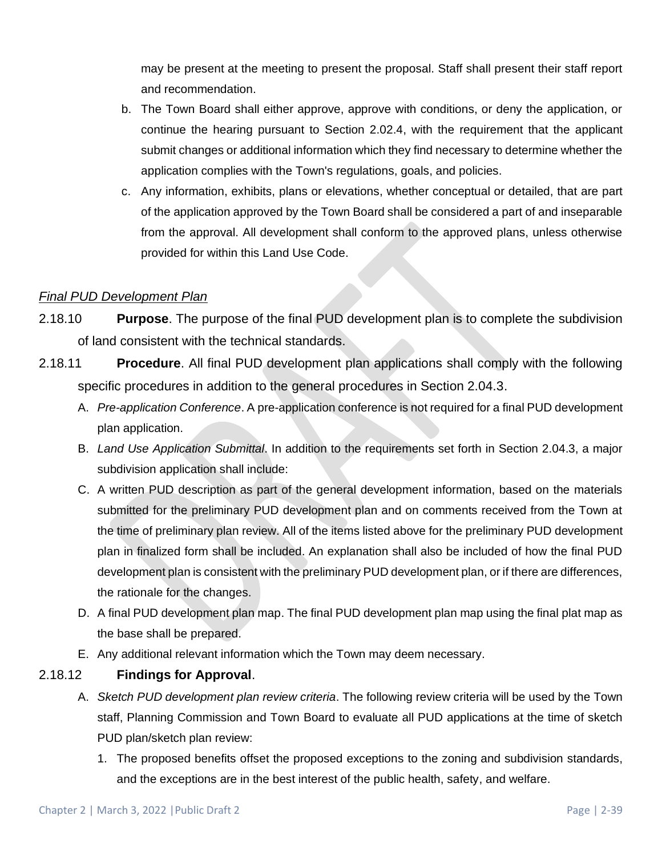may be present at the meeting to present the proposal. Staff shall present their staff report and recommendation.

- b. The Town Board shall either approve, approve with conditions, or deny the application, or continue the hearing pursuant to Section 2.02.4, with the requirement that the applicant submit changes or additional information which they find necessary to determine whether the application complies with the Town's regulations, goals, and policies.
- c. Any information, exhibits, plans or elevations, whether conceptual or detailed, that are part of the application approved by the Town Board shall be considered a part of and inseparable from the approval. All development shall conform to the approved plans, unless otherwise provided for within this Land Use Code.

## *Final PUD Development Plan*

- 2.18.10 **Purpose**. The purpose of the final PUD development plan is to complete the subdivision of land consistent with the technical standards.
- 2.18.11 **Procedure**. All final PUD development plan applications shall comply with the following specific procedures in addition to the general procedures in Section 2.04.3.
	- A. *Pre-application Conference*. A pre-application conference is not required for a final PUD development plan application.
	- B. *Land Use Application Submittal*. In addition to the requirements set forth in Section 2.04.3, a major subdivision application shall include:
	- C. A written PUD description as part of the general development information, based on the materials submitted for the preliminary PUD development plan and on comments received from the Town at the time of preliminary plan review. All of the items listed above for the preliminary PUD development plan in finalized form shall be included. An explanation shall also be included of how the final PUD development plan is consistent with the preliminary PUD development plan, or if there are differences, the rationale for the changes.
	- D. A final PUD development plan map. The final PUD development plan map using the final plat map as the base shall be prepared.
	- E. Any additional relevant information which the Town may deem necessary.

## 2.18.12 **Findings for Approval**.

- A. *Sketch PUD development plan review criteria*. The following review criteria will be used by the Town staff, Planning Commission and Town Board to evaluate all PUD applications at the time of sketch PUD plan/sketch plan review:
	- 1. The proposed benefits offset the proposed exceptions to the zoning and subdivision standards, and the exceptions are in the best interest of the public health, safety, and welfare.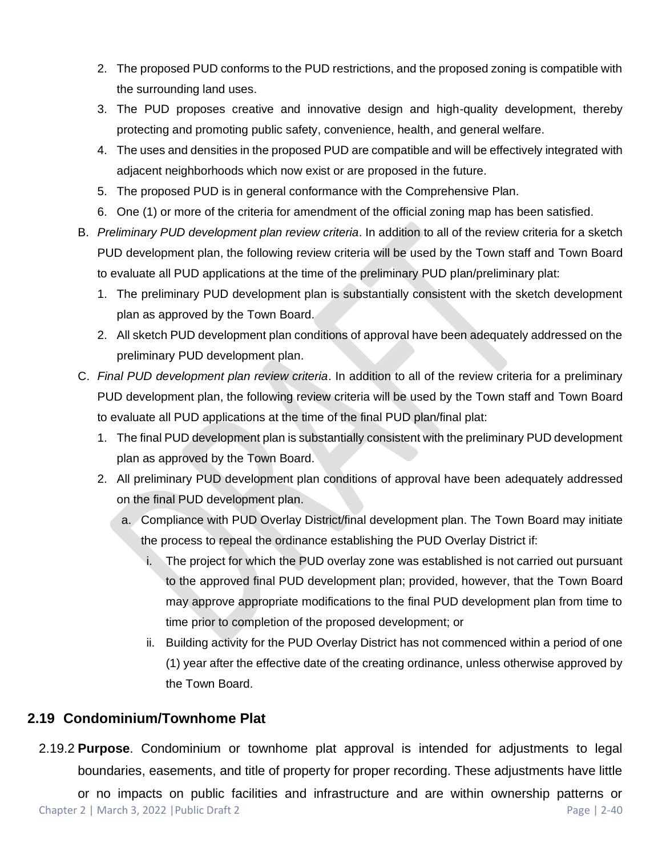- 2. The proposed PUD conforms to the PUD restrictions, and the proposed zoning is compatible with the surrounding land uses.
- 3. The PUD proposes creative and innovative design and high-quality development, thereby protecting and promoting public safety, convenience, health, and general welfare.
- 4. The uses and densities in the proposed PUD are compatible and will be effectively integrated with adjacent neighborhoods which now exist or are proposed in the future.
- 5. The proposed PUD is in general conformance with the Comprehensive Plan.
- 6. One (1) or more of the criteria for amendment of the official zoning map has been satisfied.
- B. *Preliminary PUD development plan review criteria*. In addition to all of the review criteria for a sketch PUD development plan, the following review criteria will be used by the Town staff and Town Board to evaluate all PUD applications at the time of the preliminary PUD plan/preliminary plat:
	- 1. The preliminary PUD development plan is substantially consistent with the sketch development plan as approved by the Town Board.
	- 2. All sketch PUD development plan conditions of approval have been adequately addressed on the preliminary PUD development plan.
- C. *Final PUD development plan review criteria*. In addition to all of the review criteria for a preliminary PUD development plan, the following review criteria will be used by the Town staff and Town Board to evaluate all PUD applications at the time of the final PUD plan/final plat:
	- 1. The final PUD development plan is substantially consistent with the preliminary PUD development plan as approved by the Town Board.
	- 2. All preliminary PUD development plan conditions of approval have been adequately addressed on the final PUD development plan.
		- a. Compliance with PUD Overlay District/final development plan. The Town Board may initiate the process to repeal the ordinance establishing the PUD Overlay District if:
			- i. The project for which the PUD overlay zone was established is not carried out pursuant to the approved final PUD development plan; provided, however, that the Town Board may approve appropriate modifications to the final PUD development plan from time to time prior to completion of the proposed development; or
			- ii. Building activity for the PUD Overlay District has not commenced within a period of one (1) year after the effective date of the creating ordinance, unless otherwise approved by the Town Board.

## **2.19 Condominium/Townhome Plat**

2.19.2 **Purpose**. Condominium or townhome plat approval is intended for adjustments to legal boundaries, easements, and title of property for proper recording. These adjustments have little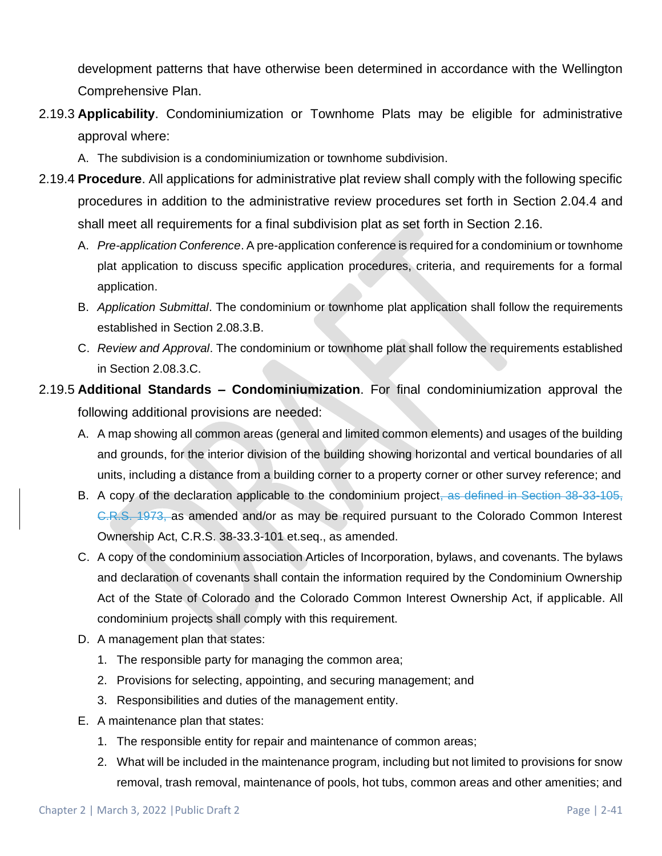development patterns that have otherwise been determined in accordance with the Wellington Comprehensive Plan.

- 2.19.3 **Applicability**. Condominiumization or Townhome Plats may be eligible for administrative approval where:
	- A. The subdivision is a condominiumization or townhome subdivision.
- 2.19.4 **Procedure**. All applications for administrative plat review shall comply with the following specific procedures in addition to the administrative review procedures set forth in Section 2.04.4 and shall meet all requirements for a final subdivision plat as set forth in Section 2.16.
	- A. *Pre-application Conference*. A pre-application conference is required for a condominium or townhome plat application to discuss specific application procedures, criteria, and requirements for a formal application.
	- B. *Application Submittal*. The condominium or townhome plat application shall follow the requirements established in Section 2.08.3.B.
	- C. *Review and Approval*. The condominium or townhome plat shall follow the requirements established in Section 2.08.3.C.
- 2.19.5 **Additional Standards – Condominiumization**. For final condominiumization approval the following additional provisions are needed:
	- A. A map showing all common areas (general and limited common elements) and usages of the building and grounds, for the interior division of the building showing horizontal and vertical boundaries of all units, including a distance from a building corner to a property corner or other survey reference; and
	- B. A copy of the declaration applicable to the condominium project, as defined in Section 38-33-105, C.R.S. 1973, as amended and/or as may be required pursuant to the Colorado Common Interest Ownership Act, C.R.S. 38-33.3-101 et.seq., as amended.
	- C. A copy of the condominium association Articles of Incorporation, bylaws, and covenants. The bylaws and declaration of covenants shall contain the information required by the Condominium Ownership Act of the State of Colorado and the Colorado Common Interest Ownership Act, if applicable. All condominium projects shall comply with this requirement.
	- D. A management plan that states:
		- 1. The responsible party for managing the common area;
		- 2. Provisions for selecting, appointing, and securing management; and
		- 3. Responsibilities and duties of the management entity.
	- E. A maintenance plan that states:
		- 1. The responsible entity for repair and maintenance of common areas;
		- 2. What will be included in the maintenance program, including but not limited to provisions for snow removal, trash removal, maintenance of pools, hot tubs, common areas and other amenities; and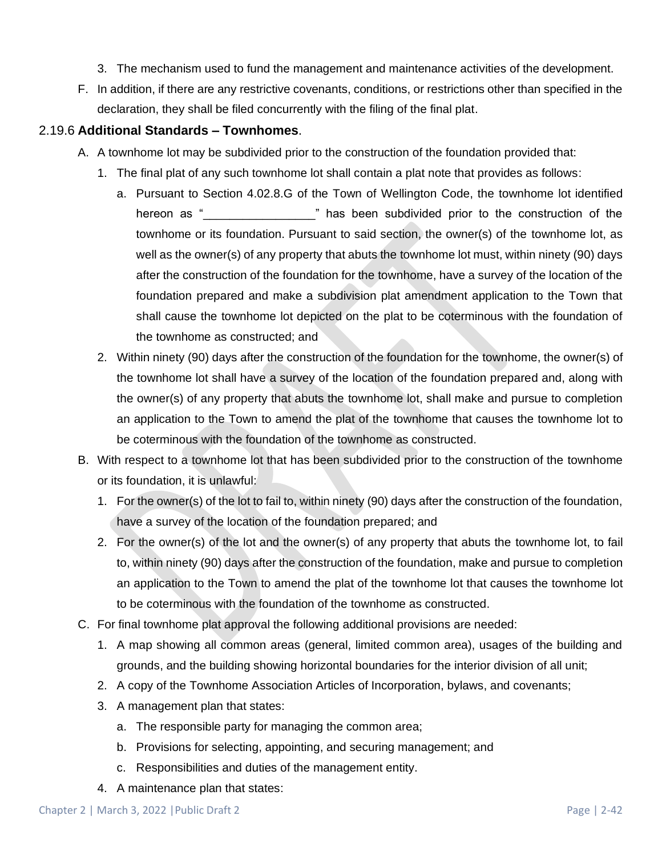- 3. The mechanism used to fund the management and maintenance activities of the development.
- F. In addition, if there are any restrictive covenants, conditions, or restrictions other than specified in the declaration, they shall be filed concurrently with the filing of the final plat.

### 2.19.6 **Additional Standards – Townhomes**.

- A. A townhome lot may be subdivided prior to the construction of the foundation provided that:
	- 1. The final plat of any such townhome lot shall contain a plat note that provides as follows:
		- a. Pursuant to Section 4.02.8.G of the Town of Wellington Code, the townhome lot identified hereon as " \_\_\_\_\_\_\_\_\_\_\_\_\_\_\_\_" has been subdivided prior to the construction of the townhome or its foundation. Pursuant to said section, the owner(s) of the townhome lot, as well as the owner(s) of any property that abuts the townhome lot must, within ninety (90) days after the construction of the foundation for the townhome, have a survey of the location of the foundation prepared and make a subdivision plat amendment application to the Town that shall cause the townhome lot depicted on the plat to be coterminous with the foundation of the townhome as constructed; and
	- 2. Within ninety (90) days after the construction of the foundation for the townhome, the owner(s) of the townhome lot shall have a survey of the location of the foundation prepared and, along with the owner(s) of any property that abuts the townhome lot, shall make and pursue to completion an application to the Town to amend the plat of the townhome that causes the townhome lot to be coterminous with the foundation of the townhome as constructed.
- B. With respect to a townhome lot that has been subdivided prior to the construction of the townhome or its foundation, it is unlawful:
	- 1. For the owner(s) of the lot to fail to, within ninety (90) days after the construction of the foundation, have a survey of the location of the foundation prepared; and
	- 2. For the owner(s) of the lot and the owner(s) of any property that abuts the townhome lot, to fail to, within ninety (90) days after the construction of the foundation, make and pursue to completion an application to the Town to amend the plat of the townhome lot that causes the townhome lot to be coterminous with the foundation of the townhome as constructed.
- C. For final townhome plat approval the following additional provisions are needed:
	- 1. A map showing all common areas (general, limited common area), usages of the building and grounds, and the building showing horizontal boundaries for the interior division of all unit;
	- 2. A copy of the Townhome Association Articles of Incorporation, bylaws, and covenants;
	- 3. A management plan that states:
		- a. The responsible party for managing the common area;
		- b. Provisions for selecting, appointing, and securing management; and
		- c. Responsibilities and duties of the management entity.
	- 4. A maintenance plan that states: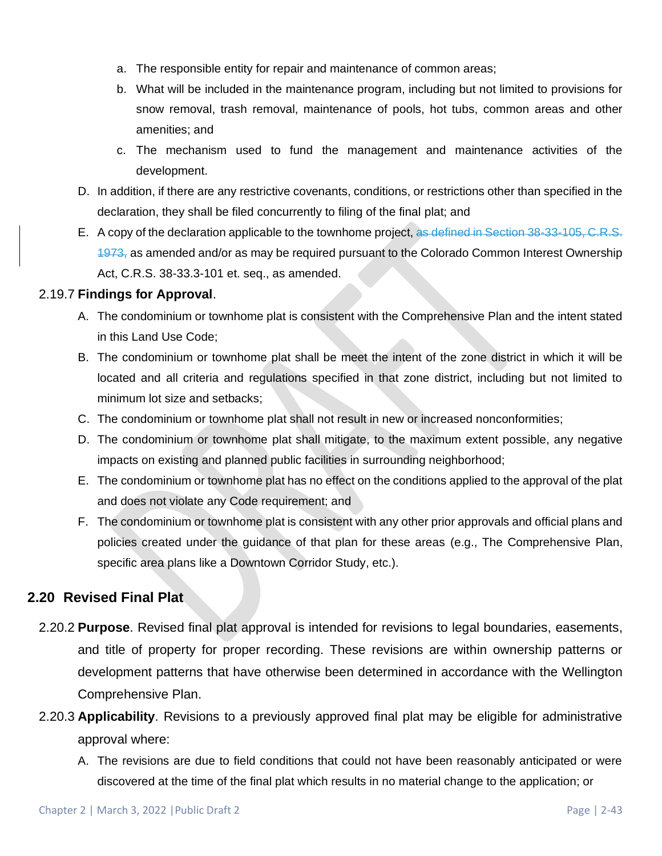- a. The responsible entity for repair and maintenance of common areas;
- b. What will be included in the maintenance program, including but not limited to provisions for snow removal, trash removal, maintenance of pools, hot tubs, common areas and other amenities; and
- c. The mechanism used to fund the management and maintenance activities of the development.
- D. In addition, if there are any restrictive covenants, conditions, or restrictions other than specified in the declaration, they shall be filed concurrently to filing of the final plat; and
- E. A copy of the declaration applicable to the townhome project, as defined in Section 38-33-105, C.R.S.  $1973<sub>1</sub>$  as amended and/or as may be required pursuant to the Colorado Common Interest Ownership Act, C.R.S. 38-33.3-101 et. seq., as amended.

### 2.19.7 **Findings for Approval**.

- A. The condominium or townhome plat is consistent with the Comprehensive Plan and the intent stated in this Land Use Code;
- B. The condominium or townhome plat shall be meet the intent of the zone district in which it will be located and all criteria and regulations specified in that zone district, including but not limited to minimum lot size and setbacks;
- C. The condominium or townhome plat shall not result in new or increased nonconformities;
- D. The condominium or townhome plat shall mitigate, to the maximum extent possible, any negative impacts on existing and planned public facilities in surrounding neighborhood;
- E. The condominium or townhome plat has no effect on the conditions applied to the approval of the plat and does not violate any Code requirement; and
- F. The condominium or townhome plat is consistent with any other prior approvals and official plans and policies created under the guidance of that plan for these areas (e.g., The Comprehensive Plan, specific area plans like a Downtown Corridor Study, etc.).

## **2.20 Revised Final Plat**

- 2.20.2 **Purpose**. Revised final plat approval is intended for revisions to legal boundaries, easements, and title of property for proper recording. These revisions are within ownership patterns or development patterns that have otherwise been determined in accordance with the Wellington Comprehensive Plan.
- 2.20.3 **Applicability**. Revisions to a previously approved final plat may be eligible for administrative approval where:
	- A. The revisions are due to field conditions that could not have been reasonably anticipated or were discovered at the time of the final plat which results in no material change to the application; or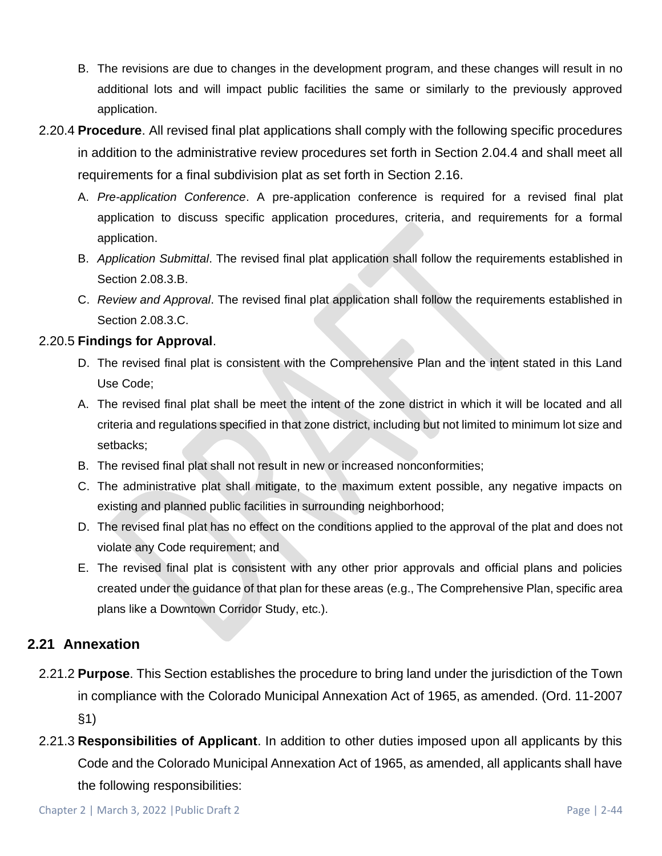- B. The revisions are due to changes in the development program, and these changes will result in no additional lots and will impact public facilities the same or similarly to the previously approved application.
- 2.20.4 **Procedure**. All revised final plat applications shall comply with the following specific procedures in addition to the administrative review procedures set forth in Section 2.04.4 and shall meet all requirements for a final subdivision plat as set forth in Section 2.16.
	- A. *Pre-application Conference*. A pre-application conference is required for a revised final plat application to discuss specific application procedures, criteria, and requirements for a formal application.
	- B. *Application Submittal*. The revised final plat application shall follow the requirements established in Section 2.08.3.B.
	- C. *Review and Approval*. The revised final plat application shall follow the requirements established in Section 2.08.3.C.

## 2.20.5 **Findings for Approval**.

- D. The revised final plat is consistent with the Comprehensive Plan and the intent stated in this Land Use Code;
- A. The revised final plat shall be meet the intent of the zone district in which it will be located and all criteria and regulations specified in that zone district, including but not limited to minimum lot size and setbacks;
- B. The revised final plat shall not result in new or increased nonconformities;
- C. The administrative plat shall mitigate, to the maximum extent possible, any negative impacts on existing and planned public facilities in surrounding neighborhood;
- D. The revised final plat has no effect on the conditions applied to the approval of the plat and does not violate any Code requirement; and
- E. The revised final plat is consistent with any other prior approvals and official plans and policies created under the guidance of that plan for these areas (e.g., The Comprehensive Plan, specific area plans like a Downtown Corridor Study, etc.).

## **2.21 Annexation**

- 2.21.2 **Purpose**. This Section establishes the procedure to bring land under the jurisdiction of the Town in compliance with the Colorado Municipal Annexation Act of 1965, as amended. (Ord. 11-2007 §1)
- 2.21.3 **Responsibilities of Applicant**. In addition to other duties imposed upon all applicants by this Code and the Colorado Municipal Annexation Act of 1965, as amended, all applicants shall have the following responsibilities: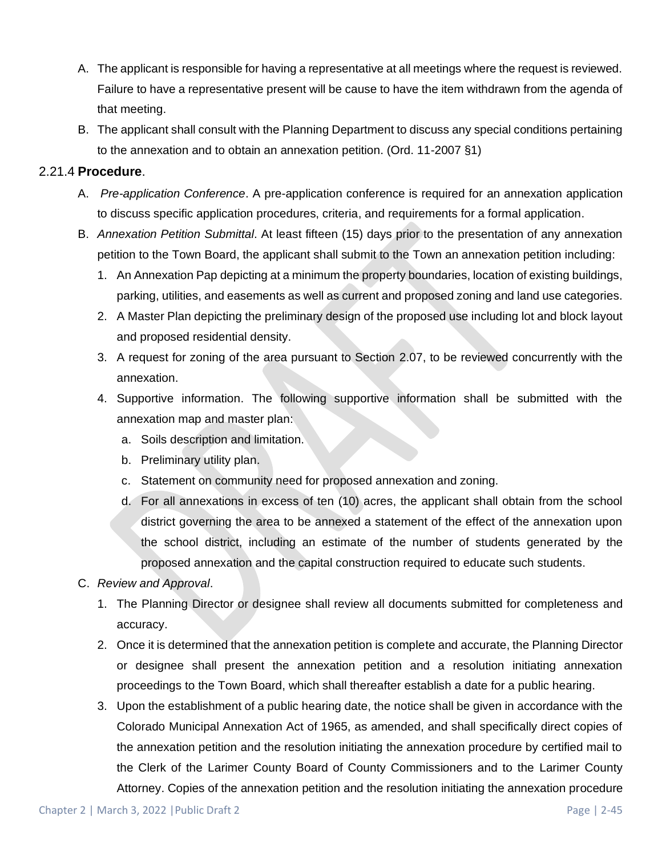- A. The applicant is responsible for having a representative at all meetings where the request is reviewed. Failure to have a representative present will be cause to have the item withdrawn from the agenda of that meeting.
- B. The applicant shall consult with the Planning Department to discuss any special conditions pertaining to the annexation and to obtain an annexation petition. (Ord. 11-2007 §1)

### 2.21.4 **Procedure**.

- A. *Pre-application Conference*. A pre-application conference is required for an annexation application to discuss specific application procedures, criteria, and requirements for a formal application.
- B. *Annexation Petition Submittal*. At least fifteen (15) days prior to the presentation of any annexation petition to the Town Board, the applicant shall submit to the Town an annexation petition including:
	- 1. An Annexation Pap depicting at a minimum the property boundaries, location of existing buildings, parking, utilities, and easements as well as current and proposed zoning and land use categories.
	- 2. A Master Plan depicting the preliminary design of the proposed use including lot and block layout and proposed residential density.
	- 3. A request for zoning of the area pursuant to Section 2.07, to be reviewed concurrently with the annexation.
	- 4. Supportive information. The following supportive information shall be submitted with the annexation map and master plan:
		- a. Soils description and limitation.
		- b. Preliminary utility plan.
		- c. Statement on community need for proposed annexation and zoning.
		- d. For all annexations in excess of ten (10) acres, the applicant shall obtain from the school district governing the area to be annexed a statement of the effect of the annexation upon the school district, including an estimate of the number of students generated by the proposed annexation and the capital construction required to educate such students.
- C. *Review and Approval*.
	- 1. The Planning Director or designee shall review all documents submitted for completeness and accuracy.
	- 2. Once it is determined that the annexation petition is complete and accurate, the Planning Director or designee shall present the annexation petition and a resolution initiating annexation proceedings to the Town Board, which shall thereafter establish a date for a public hearing.
	- 3. Upon the establishment of a public hearing date, the notice shall be given in accordance with the Colorado Municipal Annexation Act of 1965, as amended, and shall specifically direct copies of the annexation petition and the resolution initiating the annexation procedure by certified mail to the Clerk of the Larimer County Board of County Commissioners and to the Larimer County Attorney. Copies of the annexation petition and the resolution initiating the annexation procedure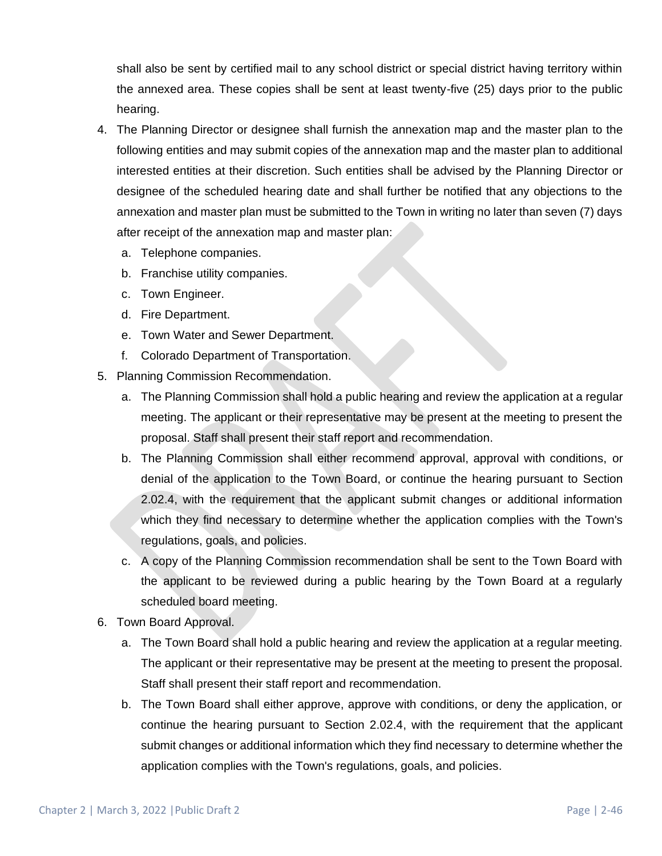shall also be sent by certified mail to any school district or special district having territory within the annexed area. These copies shall be sent at least twenty-five (25) days prior to the public hearing.

- 4. The Planning Director or designee shall furnish the annexation map and the master plan to the following entities and may submit copies of the annexation map and the master plan to additional interested entities at their discretion. Such entities shall be advised by the Planning Director or designee of the scheduled hearing date and shall further be notified that any objections to the annexation and master plan must be submitted to the Town in writing no later than seven (7) days after receipt of the annexation map and master plan:
	- a. Telephone companies.
	- b. Franchise utility companies.
	- c. Town Engineer.
	- d. Fire Department.
	- e. Town Water and Sewer Department.
	- f. Colorado Department of Transportation.
- 5. Planning Commission Recommendation.
	- a. The Planning Commission shall hold a public hearing and review the application at a regular meeting. The applicant or their representative may be present at the meeting to present the proposal. Staff shall present their staff report and recommendation.
	- b. The Planning Commission shall either recommend approval, approval with conditions, or denial of the application to the Town Board, or continue the hearing pursuant to Section 2.02.4, with the requirement that the applicant submit changes or additional information which they find necessary to determine whether the application complies with the Town's regulations, goals, and policies.
	- c. A copy of the Planning Commission recommendation shall be sent to the Town Board with the applicant to be reviewed during a public hearing by the Town Board at a regularly scheduled board meeting.
- 6. Town Board Approval.
	- a. The Town Board shall hold a public hearing and review the application at a regular meeting. The applicant or their representative may be present at the meeting to present the proposal. Staff shall present their staff report and recommendation.
	- b. The Town Board shall either approve, approve with conditions, or deny the application, or continue the hearing pursuant to Section 2.02.4, with the requirement that the applicant submit changes or additional information which they find necessary to determine whether the application complies with the Town's regulations, goals, and policies.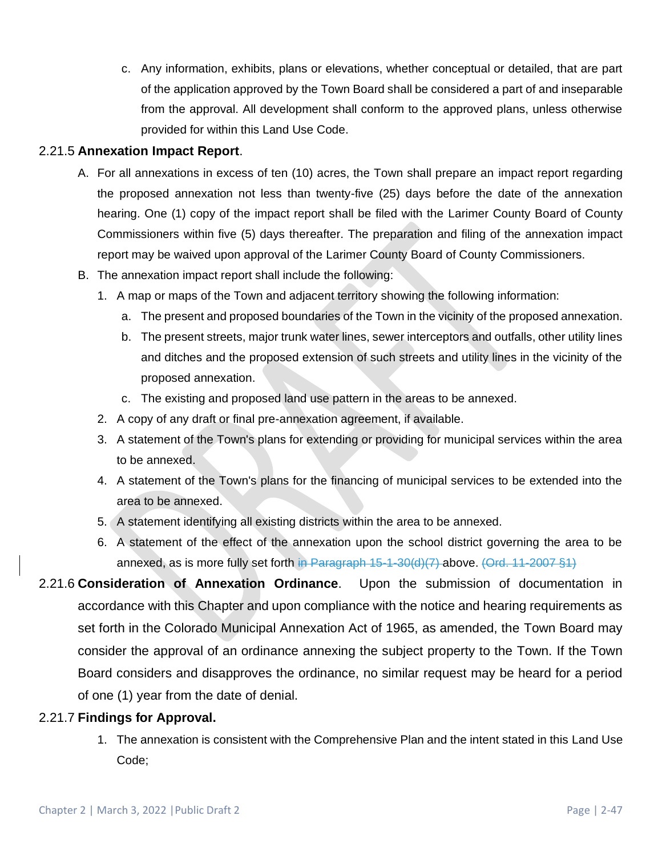c. Any information, exhibits, plans or elevations, whether conceptual or detailed, that are part of the application approved by the Town Board shall be considered a part of and inseparable from the approval. All development shall conform to the approved plans, unless otherwise provided for within this Land Use Code.

## 2.21.5 **Annexation Impact Report**.

- A. For all annexations in excess of ten (10) acres, the Town shall prepare an impact report regarding the proposed annexation not less than twenty-five (25) days before the date of the annexation hearing. One (1) copy of the impact report shall be filed with the Larimer County Board of County Commissioners within five (5) days thereafter. The preparation and filing of the annexation impact report may be waived upon approval of the Larimer County Board of County Commissioners.
- B. The annexation impact report shall include the following:
	- 1. A map or maps of the Town and adjacent territory showing the following information:
		- a. The present and proposed boundaries of the Town in the vicinity of the proposed annexation.
		- b. The present streets, major trunk water lines, sewer interceptors and outfalls, other utility lines and ditches and the proposed extension of such streets and utility lines in the vicinity of the proposed annexation.
		- c. The existing and proposed land use pattern in the areas to be annexed.
	- 2. A copy of any draft or final pre-annexation agreement, if available.
	- 3. A statement of the Town's plans for extending or providing for municipal services within the area to be annexed.
	- 4. A statement of the Town's plans for the financing of municipal services to be extended into the area to be annexed.
	- 5. A statement identifying all existing districts within the area to be annexed.
	- 6. A statement of the effect of the annexation upon the school district governing the area to be annexed, as is more fully set forth in Paragraph 15-1-30(d)(7) above. (Ord. 11-2007 §1)
- 2.21.6 **Consideration of Annexation Ordinance**. Upon the submission of documentation in accordance with this Chapter and upon compliance with the notice and hearing requirements as set forth in the Colorado Municipal Annexation Act of 1965, as amended, the Town Board may consider the approval of an ordinance annexing the subject property to the Town. If the Town Board considers and disapproves the ordinance, no similar request may be heard for a period of one (1) year from the date of denial.

#### 2.21.7 **Findings for Approval.**

1. The annexation is consistent with the Comprehensive Plan and the intent stated in this Land Use Code;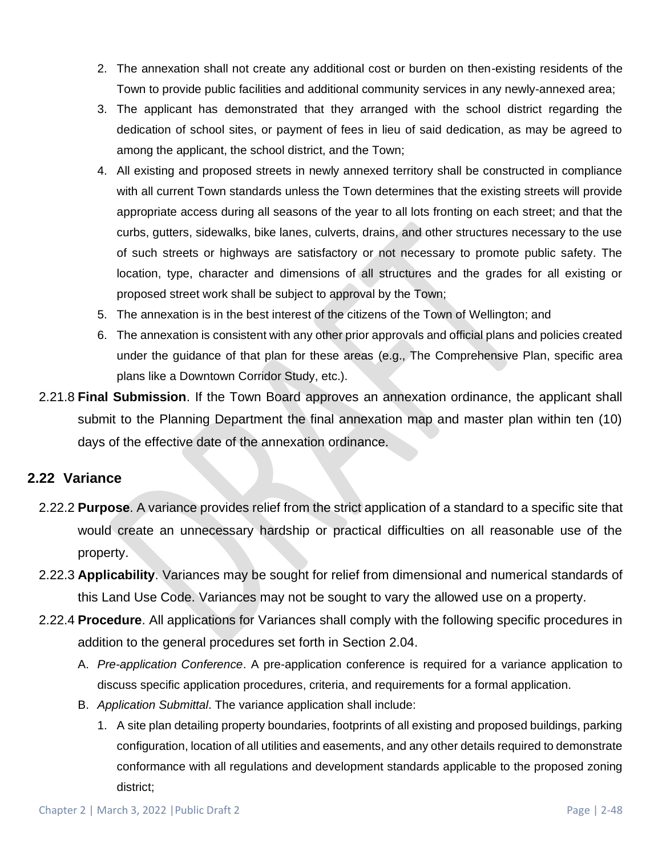- 2. The annexation shall not create any additional cost or burden on then-existing residents of the Town to provide public facilities and additional community services in any newly-annexed area;
- 3. The applicant has demonstrated that they arranged with the school district regarding the dedication of school sites, or payment of fees in lieu of said dedication, as may be agreed to among the applicant, the school district, and the Town;
- 4. All existing and proposed streets in newly annexed territory shall be constructed in compliance with all current Town standards unless the Town determines that the existing streets will provide appropriate access during all seasons of the year to all lots fronting on each street; and that the curbs, gutters, sidewalks, bike lanes, culverts, drains, and other structures necessary to the use of such streets or highways are satisfactory or not necessary to promote public safety. The location, type, character and dimensions of all structures and the grades for all existing or proposed street work shall be subject to approval by the Town;
- 5. The annexation is in the best interest of the citizens of the Town of Wellington; and
- 6. The annexation is consistent with any other prior approvals and official plans and policies created under the guidance of that plan for these areas (e.g., The Comprehensive Plan, specific area plans like a Downtown Corridor Study, etc.).
- 2.21.8 **Final Submission**. If the Town Board approves an annexation ordinance, the applicant shall submit to the Planning Department the final annexation map and master plan within ten (10) days of the effective date of the annexation ordinance.

## **2.22 Variance**

- 2.22.2 **Purpose**. A variance provides relief from the strict application of a standard to a specific site that would create an unnecessary hardship or practical difficulties on all reasonable use of the property.
- 2.22.3 **Applicability**. Variances may be sought for relief from dimensional and numerical standards of this Land Use Code. Variances may not be sought to vary the allowed use on a property.
- 2.22.4 **Procedure**. All applications for Variances shall comply with the following specific procedures in addition to the general procedures set forth in Section 2.04.
	- A. *Pre-application Conference*. A pre-application conference is required for a variance application to discuss specific application procedures, criteria, and requirements for a formal application.
	- B. *Application Submittal*. The variance application shall include:
		- 1. A site plan detailing property boundaries, footprints of all existing and proposed buildings, parking configuration, location of all utilities and easements, and any other details required to demonstrate conformance with all regulations and development standards applicable to the proposed zoning district;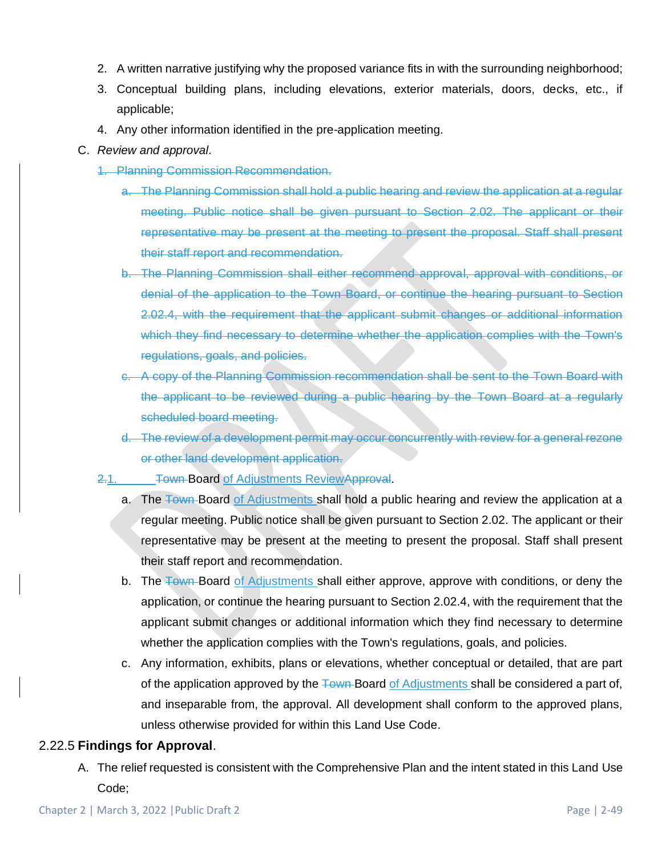- 2. A written narrative justifying why the proposed variance fits in with the surrounding neighborhood;
- 3. Conceptual building plans, including elevations, exterior materials, doors, decks, etc., if applicable;
- 4. Any other information identified in the pre-application meeting.
- C. *Review and approval*.
	- 1. Planning Commission Recommendation.
		- a. The Planning Commission shall hold a public hearing and review the application at a regular meeting. Public notice shall be given pursuant to Section 2.02. The applicant or their representative may be present at the meeting to present the proposal. Staff shall present their staff report and recommendation.
		- b. The Planning Commission shall either recommend approval, approval with conditions, or denial of the application to the Town Board, or continue the hearing pursuant to Section 2.02.4, with the requirement that the applicant submit changes or additional information which they find necessary to determine whether the application complies with the Town's regulations, goals, and policies.
		- c. A copy of the Planning Commission recommendation shall be sent to the Town Board with the applicant to be reviewed during a public hearing by the Town Board at a regularly scheduled board meeting.
		- d. The review of a development permit may occur concurrently with review for a general rezone or other land development application.
	- 2.1. Town-Board of Adjustments ReviewApproval.
		- a. The Town Board of Adjustments shall hold a public hearing and review the application at a regular meeting. Public notice shall be given pursuant to Section 2.02. The applicant or their representative may be present at the meeting to present the proposal. Staff shall present their staff report and recommendation.
		- b. The Town Board of Adjustments shall either approve, approve with conditions, or deny the application, or continue the hearing pursuant to Section 2.02.4, with the requirement that the applicant submit changes or additional information which they find necessary to determine whether the application complies with the Town's regulations, goals, and policies.
		- c. Any information, exhibits, plans or elevations, whether conceptual or detailed, that are part of the application approved by the Town-Board of Adjustments shall be considered a part of, and inseparable from, the approval. All development shall conform to the approved plans, unless otherwise provided for within this Land Use Code.

#### 2.22.5 **Findings for Approval**.

A. The relief requested is consistent with the Comprehensive Plan and the intent stated in this Land Use Code;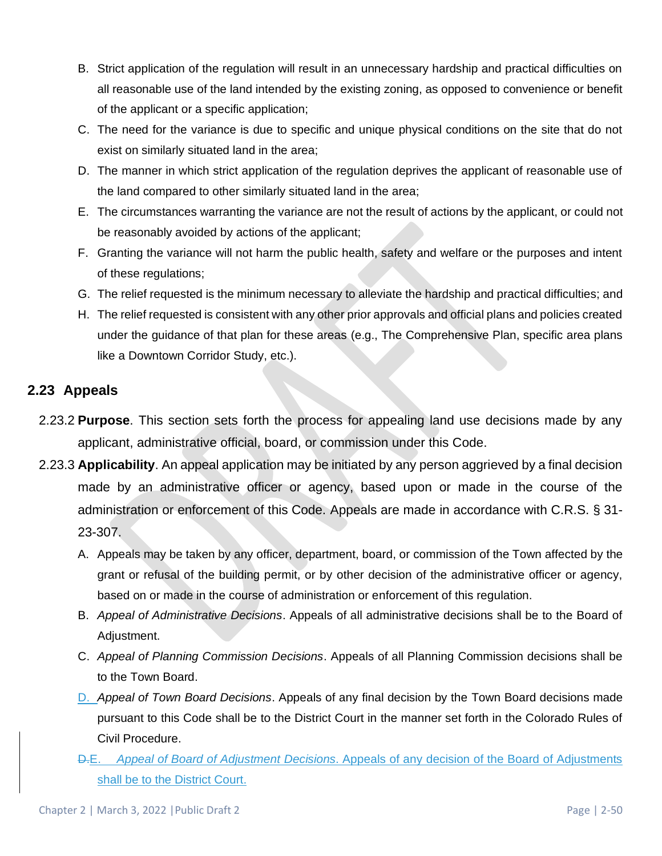- B. Strict application of the regulation will result in an unnecessary hardship and practical difficulties on all reasonable use of the land intended by the existing zoning, as opposed to convenience or benefit of the applicant or a specific application;
- C. The need for the variance is due to specific and unique physical conditions on the site that do not exist on similarly situated land in the area;
- D. The manner in which strict application of the regulation deprives the applicant of reasonable use of the land compared to other similarly situated land in the area;
- E. The circumstances warranting the variance are not the result of actions by the applicant, or could not be reasonably avoided by actions of the applicant;
- F. Granting the variance will not harm the public health, safety and welfare or the purposes and intent of these regulations;
- G. The relief requested is the minimum necessary to alleviate the hardship and practical difficulties; and
- H. The relief requested is consistent with any other prior approvals and official plans and policies created under the guidance of that plan for these areas (e.g., The Comprehensive Plan, specific area plans like a Downtown Corridor Study, etc.).

## **2.23 Appeals**

- 2.23.2 **Purpose**. This section sets forth the process for appealing land use decisions made by any applicant, administrative official, board, or commission under this Code.
- 2.23.3 **Applicability**. An appeal application may be initiated by any person aggrieved by a final decision made by an administrative officer or agency, based upon or made in the course of the administration or enforcement of this Code. Appeals are made in accordance with C.R.S. § 31- 23-307.
	- A. Appeals may be taken by any officer, department, board, or commission of the Town affected by the grant or refusal of the building permit, or by other decision of the administrative officer or agency, based on or made in the course of administration or enforcement of this regulation.
	- B. *Appeal of Administrative Decisions*. Appeals of all administrative decisions shall be to the Board of Adjustment.
	- C. *Appeal of Planning Commission Decisions*. Appeals of all Planning Commission decisions shall be to the Town Board.
	- D. *Appeal of Town Board Decisions*. Appeals of any final decision by the Town Board decisions made pursuant to this Code shall be to the District Court in the manner set forth in the Colorado Rules of Civil Procedure.
	- D.E. *Appeal of Board of Adjustment Decisions*. Appeals of any decision of the Board of Adjustments shall be to the District Court.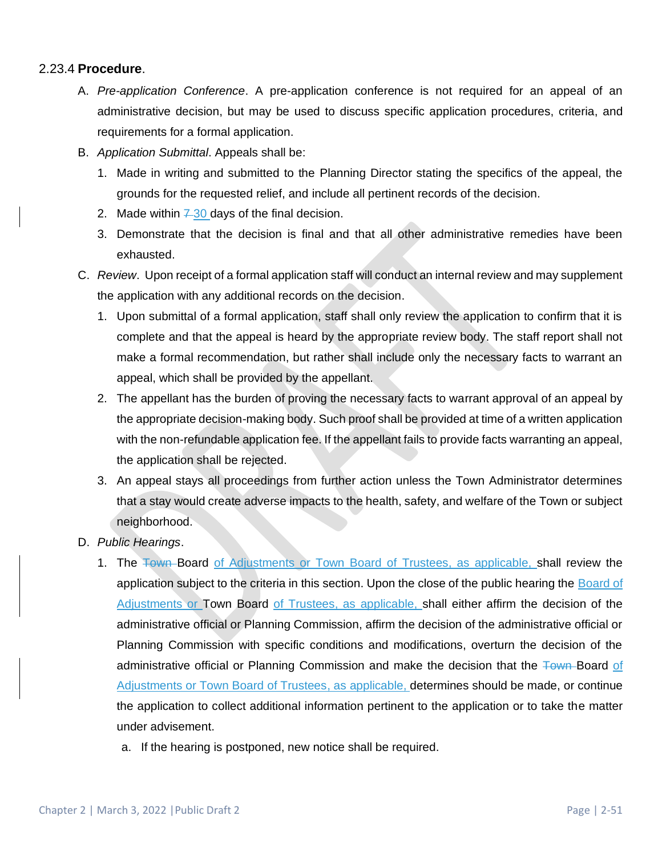#### 2.23.4 **Procedure**.

- A. *Pre-application Conference*. A pre-application conference is not required for an appeal of an administrative decision, but may be used to discuss specific application procedures, criteria, and requirements for a formal application.
- B. *Application Submittal*. Appeals shall be:
	- 1. Made in writing and submitted to the Planning Director stating the specifics of the appeal, the grounds for the requested relief, and include all pertinent records of the decision.
	- 2. Made within  $7-30$  days of the final decision.
	- 3. Demonstrate that the decision is final and that all other administrative remedies have been exhausted.
- C. *Review*. Upon receipt of a formal application staff will conduct an internal review and may supplement the application with any additional records on the decision.
	- 1. Upon submittal of a formal application, staff shall only review the application to confirm that it is complete and that the appeal is heard by the appropriate review body. The staff report shall not make a formal recommendation, but rather shall include only the necessary facts to warrant an appeal, which shall be provided by the appellant.
	- 2. The appellant has the burden of proving the necessary facts to warrant approval of an appeal by the appropriate decision-making body. Such proof shall be provided at time of a written application with the non-refundable application fee. If the appellant fails to provide facts warranting an appeal, the application shall be rejected.
	- 3. An appeal stays all proceedings from further action unless the Town Administrator determines that a stay would create adverse impacts to the health, safety, and welfare of the Town or subject neighborhood.
- D. *Public Hearings*.
	- 1. The Town Board of Adjustments or Town Board of Trustees, as applicable, shall review the application subject to the criteria in this section. Upon the close of the public hearing the Board of Adjustments or Town Board of Trustees, as applicable, shall either affirm the decision of the administrative official or Planning Commission, affirm the decision of the administrative official or Planning Commission with specific conditions and modifications, overturn the decision of the administrative official or Planning Commission and make the decision that the Town-Board of Adjustments or Town Board of Trustees, as applicable, determines should be made, or continue the application to collect additional information pertinent to the application or to take the matter under advisement.
		- a. If the hearing is postponed, new notice shall be required.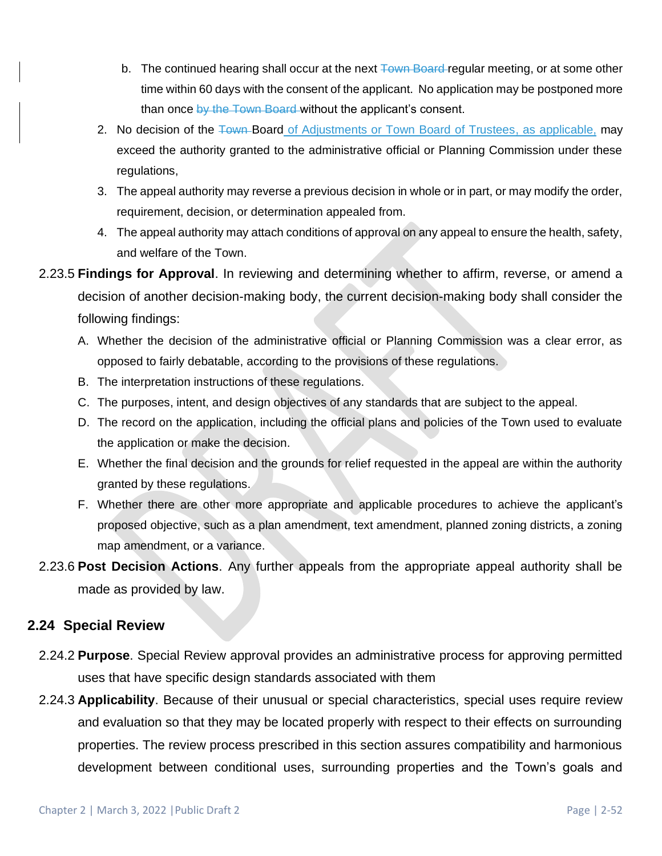- b. The continued hearing shall occur at the next  $\frac{1}{2}$  Fown Board regular meeting, or at some other time within 60 days with the consent of the applicant. No application may be postponed more than once by the Town Board without the applicant's consent.
- 2. No decision of the Town-Board of Adjustments or Town Board of Trustees, as applicable, may exceed the authority granted to the administrative official or Planning Commission under these regulations,
- 3. The appeal authority may reverse a previous decision in whole or in part, or may modify the order, requirement, decision, or determination appealed from.
- 4. The appeal authority may attach conditions of approval on any appeal to ensure the health, safety, and welfare of the Town.
- 2.23.5 **Findings for Approval**. In reviewing and determining whether to affirm, reverse, or amend a decision of another decision-making body, the current decision-making body shall consider the following findings:
	- A. Whether the decision of the administrative official or Planning Commission was a clear error, as opposed to fairly debatable, according to the provisions of these regulations.
	- B. The interpretation instructions of these regulations.
	- C. The purposes, intent, and design objectives of any standards that are subject to the appeal.
	- D. The record on the application, including the official plans and policies of the Town used to evaluate the application or make the decision.
	- E. Whether the final decision and the grounds for relief requested in the appeal are within the authority granted by these regulations.
	- F. Whether there are other more appropriate and applicable procedures to achieve the applicant's proposed objective, such as a plan amendment, text amendment, planned zoning districts, a zoning map amendment, or a variance.
- 2.23.6 **Post Decision Actions**. Any further appeals from the appropriate appeal authority shall be made as provided by law.

## **2.24 Special Review**

- 2.24.2 **Purpose**. Special Review approval provides an administrative process for approving permitted uses that have specific design standards associated with them
- 2.24.3 **Applicability**. Because of their unusual or special characteristics, special uses require review and evaluation so that they may be located properly with respect to their effects on surrounding properties. The review process prescribed in this section assures compatibility and harmonious development between conditional uses, surrounding properties and the Town's goals and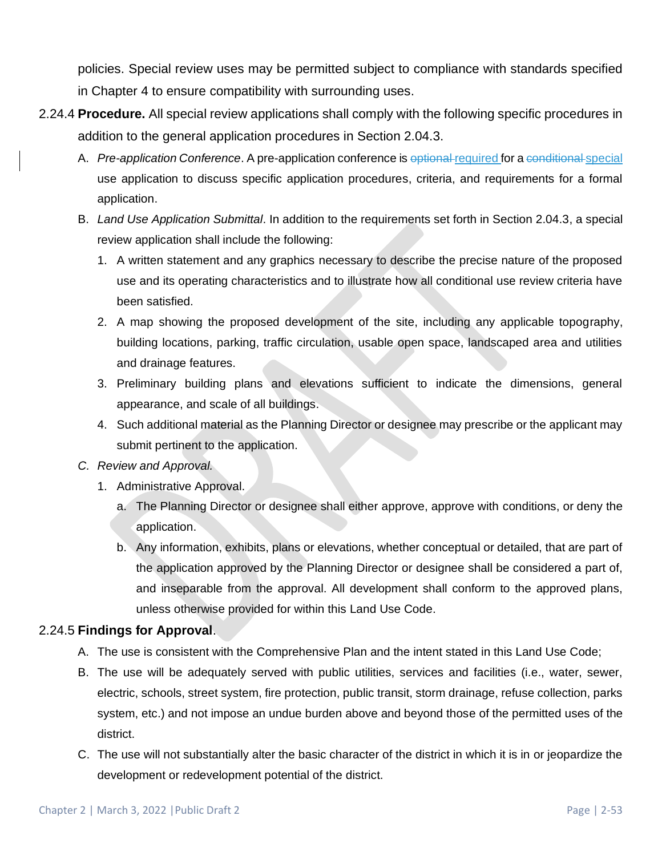policies. Special review uses may be permitted subject to compliance with standards specified in Chapter 4 to ensure compatibility with surrounding uses.

- 2.24.4 **Procedure.** All special review applications shall comply with the following specific procedures in addition to the general application procedures in Section 2.04.3.
	- A. *Pre-application Conference*. A pre-application conference is optional required for a conditional special use application to discuss specific application procedures, criteria, and requirements for a formal application.
	- B. *Land Use Application Submittal*. In addition to the requirements set forth in Section 2.04.3, a special review application shall include the following:
		- 1. A written statement and any graphics necessary to describe the precise nature of the proposed use and its operating characteristics and to illustrate how all conditional use review criteria have been satisfied.
		- 2. A map showing the proposed development of the site, including any applicable topography, building locations, parking, traffic circulation, usable open space, landscaped area and utilities and drainage features.
		- 3. Preliminary building plans and elevations sufficient to indicate the dimensions, general appearance, and scale of all buildings.
		- 4. Such additional material as the Planning Director or designee may prescribe or the applicant may submit pertinent to the application.
	- *C. Review and Approval.* 
		- 1. Administrative Approval.
			- a. The Planning Director or designee shall either approve, approve with conditions, or deny the application.
			- b. Any information, exhibits, plans or elevations, whether conceptual or detailed, that are part of the application approved by the Planning Director or designee shall be considered a part of, and inseparable from the approval. All development shall conform to the approved plans, unless otherwise provided for within this Land Use Code.

## 2.24.5 **Findings for Approval**.

- A. The use is consistent with the Comprehensive Plan and the intent stated in this Land Use Code;
- B. The use will be adequately served with public utilities, services and facilities (i.e., water, sewer, electric, schools, street system, fire protection, public transit, storm drainage, refuse collection, parks system, etc.) and not impose an undue burden above and beyond those of the permitted uses of the district.
- C. The use will not substantially alter the basic character of the district in which it is in or jeopardize the development or redevelopment potential of the district.